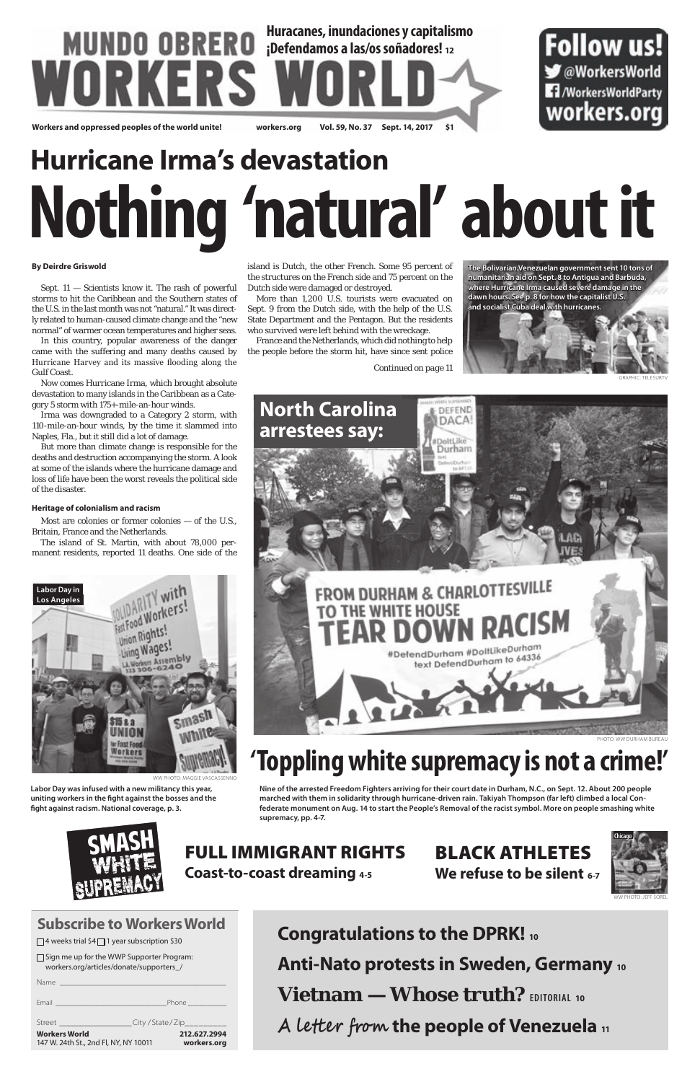| $\Box$ Sign me up for the WWP Supporter Program: |
|--------------------------------------------------|
| workers.org/articles/donate/supporters /         |

| <b>Workers World</b> | 212.627.2994<br>workers.org<br>147 W. 24th St., 2nd Fl, NY, NY 10011 |  |
|----------------------|----------------------------------------------------------------------|--|
|                      | City / State / Zip__________<br>Street <b>Street</b>                 |  |
|                      | Email <b>Email Service Communication</b><br>Phone ___________        |  |
| Name                 | <u> 1989 - Johann Barn, mars eta biztanleria (h. 1989).</u>          |  |

## **Subscribe to Workers World**

 $\Box$  4 weeks trial \$4 $\Box$  1 year subscription \$30

## **Huracanes, inundaciones y capitalismo** Follow us! **¡Defendamos a las/os soñadores! <sup>12</sup>** WORKERS **S** @WorkersWorld **17** /WorkersWorldParty workers.org **Workers and oppressed peoples of the world unite! workers.org Vol. 59, No. 37 Sept. 14, 2017 \$1**

# **Nothing 'natural' about it Hurricane Irma's devastation**

### **By Deirdre Griswold**

Sept. 11 — Scientists know it. The rash of powerful storms to hit the Caribbean and the Southern states of the U.S. in the last month was not "natural." It was directly related to human-caused climate change and the "new normal" of warmer ocean temperatures and higher seas.

In this country, popular awareness of the danger came with the suffering and many deaths caused by Hurricane Harvey and its massive flooding along the Gulf Coast.

Now comes Hurricane Irma, which brought absolute devastation to many islands in the Caribbean as a Category 5 storm with 175+-mile-an-hour winds.

Irma was downgraded to a Category 2 storm, with 110-mile-an-hour winds, by the time it slammed into Naples, Fla., but it still did a lot of damage.

But more than climate change is responsible for the deaths and destruction accompanying the storm. A look at some of the islands where the hurricane damage and loss of life have been the worst reveals the political side of the disaster.

#### **Heritage of colonialism and racism**

Most are colonies or former colonies — of the U.S., Britain, France and the Netherlands.

The island of St. Martin, with about 78,000 permanent residents, reported 11 deaths. One side of the

island is Dutch, the other French. Some 95 percent of the structures on the French side and 75 percent on the Dutch side were damaged or destroyed.

More than 1,200 U.S. tourists were evacuated on Sept. 9 from the Dutch side, with the help of the U.S. State Department and the Pentagon. But the residents who survived were left behind with the wreckage.

France and the Netherlands, which did nothing to help the people before the storm hit, have since sent police



*Continued on page 11*

## **'Toppling white supremacy is not a crime!'**

**The Bolivarian Venezuelan government sent 10 tons of humanitarian aid on Sept. 8 to Antigua and Barbuda, where Hurricane Irma caused severe damage in the dawn hours. See p. 8 for how the capitalist U.S.**



**Nine of the arrested Freedom Fighters arriving for their court date in Durham, N.C., on Sept. 12. About 200 people** 

**marched with them in solidarity through hurricane-driven rain. Takiyah Thompson (far left) climbed a local Confederate monument on Aug. 14 to start the People's Removal of the racist symbol. More on people smashing white supremacy, pp. 4-7.**



**uniting workers in the fight against the bosses and the fight against racism. National coverage, p. 3.**

## FULL IMMIGRANT RIGHTS

**Coast-to-coast dreaming 4-5**

## BLACK ATHLETES **We refuse to be silent 6-7**



**Labor Day was infused with a new militancy this year,** 



**Congratulations to the DPRK! 10 Anti-Nato protests in Sweden, Germany 10 Vietnam — Whose truth? EDITORIAL <sup>10</sup> A letter from the people of Venezuela 11**

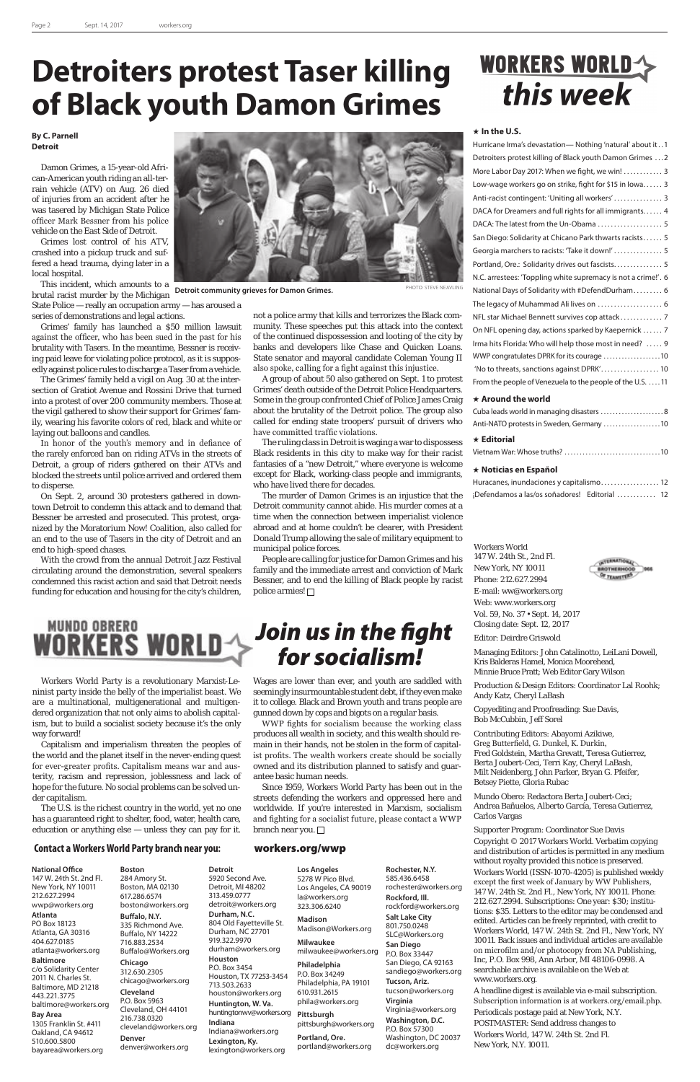### **In the U.S.**

| Hurricane Irma's devastation—Nothing 'natural' about it1      |
|---------------------------------------------------------------|
| Detroiters protest killing of Black youth Damon Grimes 2      |
| More Labor Day 2017: When we fight, we win!  3                |
| Low-wage workers go on strike, fight for \$15 in lowa 3       |
| Anti-racist contingent: 'Uniting all workers' 3               |
| DACA for Dreamers and full rights for all immigrants 4        |
| DACA: The latest from the Un-Obama  5                         |
| San Diego: Solidarity at Chicano Park thwarts racists 5       |
| Georgia marchers to racists: 'Take it down!'  5               |
| Portland, Ore.: Solidarity drives out fascists 5              |
| N.C. arrestees: 'Toppling white supremacy is not a crime!'. 6 |
| National Days of Solidarity with #DefendDurham 6              |
| The legacy of Muhammad Ali lives on  6                        |
| NFL star Michael Bennett survives cop attack 7                |
| On NFL opening day, actions sparked by Kaepernick  7          |
| Irma hits Florida: Who will help those most in need?  9       |
| WWP congratulates DPRK for its courage 10                     |
| 'No to threats, sanctions against DPRK' 10                    |
| From the people of Venezuela to the people of the U.S.  11    |
|                                                               |

## **Around the world**

| $\star$ Editorial                         |  |
|-------------------------------------------|--|
|                                           |  |
| Cuba leads world in managing disasters  8 |  |

## Vietnam War: Whose truths? . 10

### **Noticias en Español**

| Huracanes, inundaciones y capitalismo 12      |  |  |  |
|-----------------------------------------------|--|--|--|
| ¡Defendamos a las/os soñadores! Editorial  12 |  |  |  |

Workers World

147 W. 24th St., 2nd Fl. New York, NY 10011 Phone: 212.627.2994 E-mail: ww@workers.org Web: www.workers.org Vol. 59, No. 37 • Sept. 14, 2017 Closing date: Sept. 12, 2017



Managing Editors: John Catalinotto, LeiLani Dowell, Kris Balderas Hamel, Monica Moorehead, Minnie Bruce Pratt; Web Editor Gary Wilson

Production & Design Editors: Coordinator Lal Roohk; Andy Katz, Cheryl LaBash

Copyediting and Proofreading: Sue Davis, Bob McCubbin, Jeff Sorel

Contributing Editors: Abayomi Azikiwe, Greg Butterfield, G. Dunkel, K. Durkin, Fred Goldstein, Martha Grevatt, Teresa Gutierrez, Berta Joubert-Ceci, Terri Kay, Cheryl LaBash, Milt Neidenberg, John Parker, Bryan G. Pfeifer, Betsey Piette, Gloria Rubac



Mundo Obero: Redactora Berta Joubert-Ceci; Andrea Bañuelos, Alberto García, Teresa Gutierrez, Carlos Vargas

## Supporter Program: Coordinator Sue Davis

Copyright © 2017 Workers World. Verbatim copying and distribution of articles is permitted in any medium without royalty provided this notice is preserved. Workers World (ISSN-1070-4205) is published weekly except the first week of January by WW Publishers, 147 W. 24th St. 2nd Fl., New York, NY 10011. Phone: 212.627.2994. Subscriptions: One year: \$30; institutions: \$35. Letters to the editor may be condensed and edited. Articles can be freely reprinted, with credit to Workers World, 147 W. 24th St. 2nd Fl., New York, NY 10011. Back issues and individual articles are available on microfilm and/or photocopy from NA Publishing, Inc, P.O. Box 998, Ann Arbor, MI 48106-0998. A searchable archive is available on the Web at www.workers.org.

streets defending the workers and oppressed here and worldwide. If you're interested in Marxism, socialism and fighting for a socialist future, please contact a WWP branch near you.  $\square$ 

A headline digest is available via e-mail subscription. Subscription information is at workers.org/email.php. Periodicals postage paid at New York, N.Y. POSTMASTER: Send address changes to Workers World, 147 W. 24th St. 2nd Fl.

New York, N.Y. 10011.

## **Contact a Workers World Party branch near you:** workers.org/wwp

### **National Office**

147 W. 24th St. 2nd Fl. New York, NY 10011 212.627.2994 wwp@workers.org

## **Atlanta**

PO Box 18123 Atlanta, GA 30316 404.627.0185 atlanta@workers.org

### **Baltimore**

c/o Solidarity Center 2011 N. Charles St. Baltimore, MD 21218 443.221.3775 baltimore@workers.org

## **Bay Area**

1305 Franklin St. #411 Oakland, CA 94612 510.600.5800 bayarea@workers.org

**Boston** 284 Amory St. Boston, MA 02130 617.286.6574 boston@workers.org **Buffalo, N.Y.**

335 Richmond Ave. Buffalo, NY 14222 716.883.2534 Buffalo@Workers.org

### **Chicago** 312.630.2305

chicago@workers.org **Cleveland** P.O. Box 5963 Cleveland, OH 44101 216.738.0320 cleveland@workers.org **Denver** denver@workers.org

**Detroit** 5920 Second Ave. Detroit, MI 48202 313.459.0777 detroit@workers.org **Durham, N.C.** 804 Old Fayetteville St. Durham, NC 27701 919.322.9970 durham@workers.org **Houston** P.O. Box 3454 Houston, TX 77253-3454 713.503.2633 houston@workers.org **Huntington, W. Va.** huntingtonwv@workers.org **Indiana** Indiana@workers.org **Lexington, Ky.** lexington@workers.org **Los Angeles** 5278 W Pico Blvd. la@workers.org 323.306.6240 **Madison Milwaukee Philadelphia** P.O. Box 34249 610.931.2615 phila@workers.org **Pittsburgh Portland, Ore.** portland@workers.org

People are calling for justice for Damon Grimes and his family and the immediate arrest and conviction of Mark Bessner, and to end the killing of Black people by racist police armies! □

> Los Angeles, CA 90019 Madison@Workers.org milwaukee@workers.org Philadelphia, PA 19101 pittsburgh@workers.org **Rochester, N.Y.** 585.436.6458 **Rockford, Ill. Salt Lake City** 801.750.0248 **San Diego** P.O. Box 33447 **Tucson, Ariz. Virginia**  P.O. Box 57300 Washington, DC 20037

rochester@workers.org rockford@workers.org SLC@Workers.org San Diego, CA 92163 sandiego@workers.org tucson@workers.org Virginia@workers.org **Washington, D.C.**

dc@workers.org

## *Join us in the fight for socialism!*

Workers World Party is a revolutionary Marxist-Leninist party inside the belly of the imperialist beast. We are a multinational, multigenerational and multigendered organization that not only aims to abolish capitalism, but to build a socialist society because it's the only way forward!

Capitalism and imperialism threaten the peoples of the world and the planet itself in the never-ending quest for ever-greater profits. Capitalism means war and austerity, racism and repression, joblessness and lack of hope for the future. No social problems can be solved un-



**Detroit community grieves for Damon Grimes.** PHOTO: STEVE NEAVLING

der capitalism.

The U.S. is the richest country in the world, yet no one has a guaranteed right to shelter, food, water, health care, education or anything else — unless they can pay for it. Wages are lower than ever, and youth are saddled with seemingly insurmountable student debt, if they even make it to college. Black and Brown youth and trans people are gunned down by cops and bigots on a regular basis.

WWP fights for socialism because the working class produces all wealth in society, and this wealth should remain in their hands, not be stolen in the form of capitalist profits. The wealth workers create should be socially owned and its distribution planned to satisfy and guarantee basic human needs.

Since 1959, Workers World Party has been out in the

## **WORKERS WORLD-4** this week

## **Detroiters protest Taser killing of Black youth Damon Grimes**

### **By C. Parnell Detroit**

Damon Grimes, a 15-year-old African-American youth riding an all-terrain vehicle (ATV) on Aug. 26 died of injuries from an accident after he was tasered by Michigan State Police officer Mark Bessner from his police vehicle on the East Side of Detroit.

Grimes lost control of his ATV, crashed into a pickup truck and suffered a head trauma, dying later in a local hospital.

This incident, which amounts to a brutal racist murder by the Michigan

State Police — really an occupation army — has aroused a series of demonstrations and legal actions.

Grimes' family has launched a \$50 million lawsuit against the officer, who has been sued in the past for his brutality with Tasers. In the meantime, Bessner is receiving paid leave for violating police protocol, as it is supposedly against police rules to discharge a Taser from a vehicle.

The Grimes' family held a vigil on Aug. 30 at the intersection of Gratiot Avenue and Rossini Drive that turned into a protest of over 200 community members. Those at the vigil gathered to show their support for Grimes' family, wearing his favorite colors of red, black and white or laying out balloons and candles.

In honor of the youth's memory and in defiance of the rarely enforced ban on riding ATVs in the streets of Detroit, a group of riders gathered on their ATVs and blocked the streets until police arrived and ordered them to disperse.

On Sept. 2, around 30 protesters gathered in downtown Detroit to condemn this attack and to demand that Bessner be arrested and prosecuted. This protest, organized by the Moratorium Now! Coalition, also called for an end to the use of Tasers in the city of Detroit and an end to high-speed chases.

With the crowd from the annual Detroit Jazz Festival circulating around the demonstration, several speakers condemned this racist action and said that Detroit needs funding for education and housing for the city's children,



not a police army that kills and terrorizes the Black community. These speeches put this attack into the context of the continued dispossession and looting of the city by banks and developers like Chase and Quicken Loans. State senator and mayoral candidate Coleman Young II also spoke, calling for a fight against this injustice.

A group of about 50 also gathered on Sept. 1 to protest Grimes' death outside of the Detroit Police Headquarters. Some in the group confronted Chief of Police James Craig about the brutality of the Detroit police. The group also called for ending state troopers' pursuit of drivers who have committed traffic violations.

The ruling class in Detroit is waging a war to dispossess Black residents in this city to make way for their racist fantasies of a "new Detroit," where everyone is welcome except for Black, working-class people and immigrants, who have lived there for decades.

The murder of Damon Grimes is an injustice that the Detroit community cannot abide. His murder comes at a time when the connection between imperialist violence abroad and at home couldn't be clearer, with President Donald Trump allowing the sale of military equipment to municipal police forces.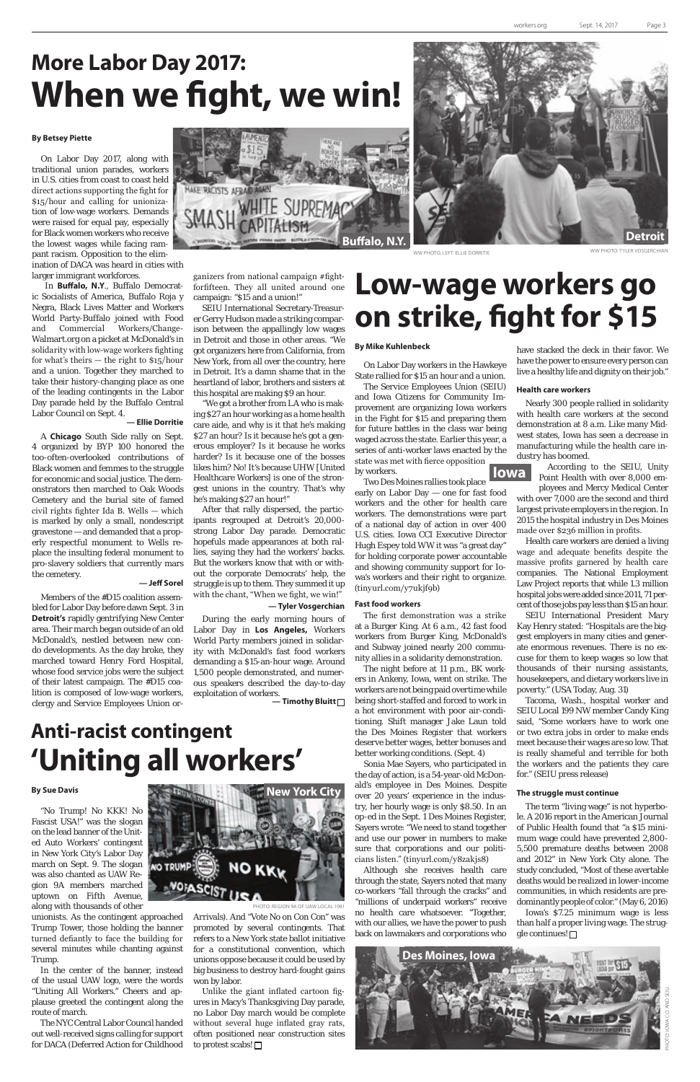## **More Labor Day 2017: When we fight, we win!**

### **By Betsey Piette**

On Labor Day 2017, along with traditional union parades, workers in U.S. cities from coast to coast held direct actions supporting the fight for \$15/hour and calling for unionization of low-wage workers. Demands were raised for equal pay, especially for Black women workers who receive the lowest wages while facing rampant racism. Opposition to the elimination of DACA was heard in cities with larger immigrant workforces.

 In **Buffalo, N.Y**., Buffalo Democratic Socialists of America, Buffalo Roja y Negra, Black Lives Matter and Workers World Party-Buffalo joined with Food and Commercial Workers/Change-Walmart.org on a picket at McDonald's in solidarity with low-wage workers fighting for what's theirs — the right to \$15/hour and a union. Together they marched to take their history-changing place as one of the leading contingents in the Labor Day parade held by the Buffalo Central Labor Council on Sept. 4.

#### **— Ellie Dorritie**

A **Chicago** South Side rally on Sept. 4 organized by BYP 100 honored the too-often-overlooked contributions of Black women and femmes to the struggle for economic and social justice. The demonstrators then marched to Oak Woods Cemetery and the burial site of famed civil rights fighter Ida B. Wells — which is marked by only a small, nondescript gravestone — and demanded that a properly respectful monument to Wells replace the insulting federal monument to pro-slavery soldiers that currently mars the cemetery.

## **— Jeff Sorel**

Members of the #D15 coalition assembled for Labor Day before dawn Sept. 3 in **Detroit's** rapidly gentrifying New Center area. Their march began outside of an old McDonald's, nestled between new condo developments. As the day broke, they marched toward Henry Ford Hospital, whose food service jobs were the subject of their latest campaign. The #D15 coalition is composed of low-wage workers, clergy and Service Employees Union or-



ganizers from national campaign #fightforfifteen. They all united around one campaign: "\$15 and a union!"

SEIU International Secretary-Treasurer Gerry Hudson made a striking comparison between the appallingly low wages in Detroit and those in other areas. "We got organizers here from California, from New York, from all over the country, here in Detroit. It's a damn shame that in the heartland of labor, brothers and sisters at this hospital are making \$9 an hour.

"We got a brother from LA who is making \$27 an hour working as a home health care aide, and why is it that he's making \$27 an hour? Is it because he's got a generous employer? Is it because he works harder? Is it because one of the bosses likes him? No! It's because UHW [United Healthcare Workers] is one of the strongest unions in the country. That's why he's making \$27 an hour!"

After that rally dispersed, the participants regrouped at Detroit's 20,000 strong Labor Day parade. Democratic hopefuls made appearances at both rallies, saying they had the workers' backs. But the workers know that with or without the corporate Democrats' help, the struggle is up to them. They summed it up with the chant, "When we fight, we win!"

### **— Tyler Vosgerchian**

During the early morning hours of Labor Day in **Los Angeles,** Workers World Party members joined in solidarity with McDonald's fast food workers demanding a \$15-an-hour wage. Around 1,500 people demonstrated, and numerous speakers described the day-to-day exploitation of workers. **— Timothy Bluitt** 

## **Low-wage workers go on strike, fight for \$15**

## **Anti-racist contingent 'Uniting all workers'**

## **By Mike Kuhlenbeck**

On Labor Day workers in the Hawkeye State rallied for \$15 an hour and a union.

Two Des Moines rallies took place early on Labor Day — one for fast food workers and the other for health care workers. The demonstrations were part of a national day of action in over 400 U.S. cities. Iowa CCI Executive Director Hugh Espey told WW it was "a great day" for holding corporate power accountable and showing community support for Iowa's workers and their right to organize. (tinyurl.com/y7ukjf9b)

Unlike the giant inflated cartoon figures in Macy's Thanksgiving Day parade, no Labor Day march would be complete without several huge inflated gray rats, often positioned near construction sites to protest scabs!  $\square$ 

### **Fast food workers**



WW PHOTO, LEFT: ELLIE DORRITIE

The first demonstration was a strike at a Burger King. At 6 a.m., 42 fast food workers from Burger King, McDonald's and Subway joined nearly 200 community allies in a solidarity demonstration.

The night before at 11 p.m., BK workers in Ankeny, Iowa, went on strike. The workers are not being paid overtime while being short-staffed and forced to work in a hot environment with poor air-conditioning. Shift manager Jake Laun told the Des Moines Register that workers deserve better wages, better bonuses and better working conditions. (Sept. 4)

Sonia Mae Sayers, who participated in the day of action, is a 54-year-old McDonald's employee in Des Moines. Despite over 20 years' experience in the industry, her hourly wage is only \$8.50. In an op-ed in the Sept. 1 Des Moines Register, Sayers wrote: "We need to stand together and use our power in numbers to make sure that corporations and our politicians listen." (tinyurl.com/y8zakjs8) Although she receives health care through the state, Sayers noted that many co-workers "fall through the cracks" and "millions of underpaid workers" receive no health care whatsoever. "Together, with our allies, we have the power to push back on lawmakers and corporations who

have stacked the deck in their favor. We have the power to ensure every person can live a healthy life and dignity on their job."

## **Health care workers**

Nearly 300 people rallied in solidarity with health care workers at the second demonstration at 8 a.m. Like many Midwest states, Iowa has seen a decrease in manufacturing while the health care industry has boomed.

> According to the SEIU, Unity Point Health with over 8,000 em-

ployees and Mercy Medical Center with over 7,000 are the second and third largest private employers in the region. In 2015 the hospital industry in Des Moines made over \$236 million in profits.

The Service Employees Union (SEIU) and Iowa Citizens for Community Improvement are organizing Iowa workers in the Fight for \$15 and preparing them for future battles in the class war being waged across the state. Earlier this year, a series of anti-worker laws enacted by the state was met with fierce opposition by workers.  **Iowa**

> Health care workers are denied a living wage and adequate benefits despite the massive profits garnered by health care companies. The National Employment Law Project reports that while 1.3 million hospital jobs were added since 2011, 71 percent of those jobs pay less than \$15 an hour.

> SEIU International President Mary Kay Henry stated: "Hospitals are the biggest employers in many cities and generate enormous revenues. There is no excuse for them to keep wages so low that thousands of their nursing assistants, housekeepers, and dietary workers live in poverty." (USA Today, Aug. 31)

> Tacoma, Wash., hospital worker and SEIU Local 199 NW member Candy King said, "Some workers have to work one or two extra jobs in order to make ends meet because their wages are so low. That is really shameful and terrible for both the workers and the patients they care for." (SEIU press release)

### **The struggle must continue**

The term "living wage" is not hyperbole. A 2016 report in the American Journal of Public Health found that "a \$15 minimum wage could have prevented 2,800- 5,500 premature deaths between 2008 and 2012" in New York City alone. The study concluded, "Most of these avertable deaths would be realized in lower-income communities, in which residents are predominantly people of color." (May 6, 2016) Iowa's \$7.25 minimum wage is less than half a proper living wage. The struggle continues!

### **By Sue Davis**

"No Trump! No KKK! No Fascist USA!" was the slogan on the lead banner of the United Auto Workers' contingent in New York City's Labor Day march on Sept. 9. The slogan was also chanted as UAW Region 9A members marched uptown on Fifth Avenue, along with thousands of other

unionists. As the contingent approached Trump Tower, those holding the banner turned defiantly to face the building for several minutes while chanting against Trump.

In the center of the banner, instead of the usual UAW logo, were the words "Uniting All Workers." Cheers and applause greeted the contingent along the route of march.

The NYC Central Labor Council handed out well-received signs calling for support for DACA (Deferred Action for Childhood



HOTO: REGION 9A OF UAW LOCAL 1981

Arrivals). And "Vote No on Con Con" was promoted by several contingents. That refers to a New York state ballot initiative for a constitutional convention, which unions oppose because it could be used by big business to destroy hard-fought gains won by labor.



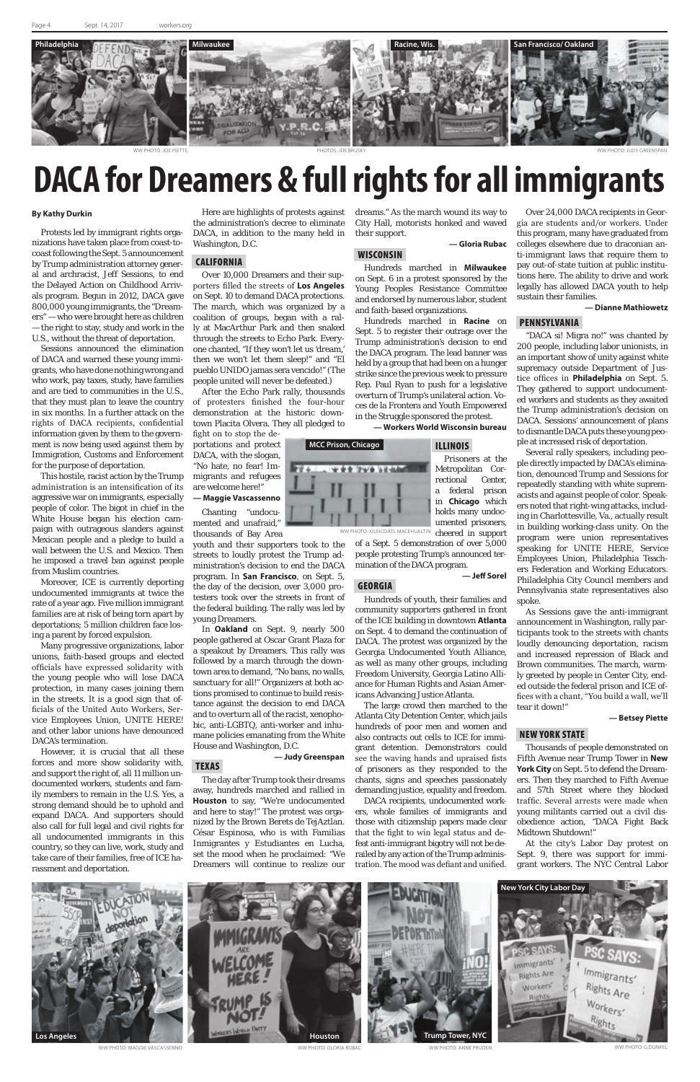## **DACA for Dreamers & full rights for all immigrants**

### **By Kathy Durkin**

Protests led by immigrant rights organizations have taken place from coast-tocoast following the Sept. 5 announcement by Trump administration attorney general and archracist, Jeff Sessions, to end the Delayed Action on Childhood Arrivals program. Begun in 2012, DACA gave 800,000 young immigrants, the "Dreamers" — who were brought here as children — the right to stay, study and work in the U.S., without the threat of deportation.

Sessions announced the elimination of DACA and warned these young immigrants, who have done nothing wrong and who work, pay taxes, study, have families and are tied to communities in the U.S., that they must plan to leave the country in six months. In a further attack on the rights of DACA recipients, confidential information given by them to the government is now being used against them by Immigration, Customs and Enforcement for the purpose of deportation.

This hostile, racist action by the Trump administration is an intensification of its aggressive war on immigrants, especially people of color. The bigot in chief in the White House began his election campaign with outrageous slanders against Mexican people and a pledge to build a wall between the U.S. and Mexico. Then he imposed a travel ban against people from Muslim countries.

Moreover, ICE is currently deporting undocumented immigrants at twice the rate of a year ago. Five million immigrant families are at risk of being torn apart by deportations; 5 million children face losing a parent by forced expulsion.

Many progressive organizations, labor unions, faith-based groups and elected officials have expressed solidarity with the young people who will lose DACA protection, in many cases joining them in the streets. It is a good sign that officials of the United Auto Workers, Service Employees Union, UNITE HERE! and other labor unions have denounced DACA's termination.

However, it is crucial that all these forces and more show solidarity with, and support the right of, all 11 million undocumented workers, students and family members to remain in the U.S. Yes, a strong demand should be to uphold and expand DACA. And supporters should also call for full legal and civil rights for all undocumented immigrants in this country, so they can live, work, study and take care of their families, free of ICE harassment and deportation.

Here are highlights of protests against the administration's decree to eliminate DACA, in addition to the many held in Washington, D.C.

## CALIFORNIA

Over 10,000 Dreamers and their supporters filled the streets of **Los Angeles** on Sept. 10 to demand DACA protections. The march, which was organized by a coalition of groups, began with a rally at MacArthur Park and then snaked through the streets to Echo Park. Everyone chanted, "If they won't let us 'dream,' then we won't let them sleep!" and "El pueblo UNIDO jamas sera vencido!" (The people united will never be defeated.)

After the Echo Park rally, thousands of protesters finished the four-hour demonstration at the historic downtown Placita Olvera. They all pledged to

fight on to stop the deportations and protect DACA, with the slogan, "No hate, no fear! Immigrants and refugees are welcome here!"

**— Maggie Vascassenno** Chanting "undocu-

mented and unafraid," thousands of Bay Area

youth and their supporters took to the streets to loudly protest the Trump administration's decision to end the DACA program. In **San Francisco**, on Sept. 5, the day of the decision, over 3,000 protesters took over the streets in front of the federal building. The rally was led by young Dreamers.

In **Oakland** on Sept. 9, nearly 500 people gathered at Oscar Grant Plaza for a speakout by Dreamers. This rally was followed by a march through the downtown area to demand, "No bans, no walls, sanctuary for all!" Organizers at both actions promised to continue to build resistance against the decision to end DACA and to overturn all of the racist, xenophobic, anti-LGBTQ, anti-worker and inhumane policies emanating from the White House and Washington, D.C.

## **— Judy Greenspan**

TEXAS

The day after Trump took their dreams away, hundreds marched and rallied in **Houston** to say, "We're undocumented and here to stay!" The protest was organized by the Brown Berets de TejAztlan. César Espinosa, who is with Familias Inmigrantes y Estudiantes en Lucha, set the mood when he proclaimed: "We Dreamers will continue to realize our dreams." As the march wound its way to City Hall, motorists honked and waved their support.

## **— Gloria Rubac**

WISCONSIN

Hundreds marched in **Milwaukee** on Sept. 6 in a protest sponsored by the Young Peoples Resistance Committee and endorsed by numerous labor, student and faith-based organizations.

Hundreds marched in **Racine** on Sept. 5 to register their outrage over the Trump administration's decision to end the DACA program. The lead banner was held by a group that had been on a hunger strike since the previous week to pressure Rep. Paul Ryan to push for a legislative overturn of Trump's unilateral action. Voces de la Frontera and Youth Empowered in the Struggle sponsored the protest.

**— Workers World Wisconsin bureau**

## ILLINOIS

Prisoners at the Metropolitan Correctional Center, a federal prison in **Chicago** which holds many undocumented prisoners,

of a Sept. 5 demonstration of over 5,000 people protesting Trump's announced termination of the DACA program.

**— Jeff Sorel**

## GEORGIA

Hundreds of youth, their families and community supporters gathered in front of the ICE building in downtown **Atlanta**  on Sept. 4 to demand the continuation of DACA. The protest was organized by the Georgia Undocumented Youth Alliance, as well as many other groups, including Freedom University, Georgia Latino Alliance for Human Rights and Asian Americans Advancing Justice Atlanta.

The large crowd then marched to the Atlanta City Detention Center, which jails hundreds of poor men and women and also contracts out cells to ICE for immigrant detention. Demonstrators could see the waving hands and upraised fists of prisoners as they responded to the chants, signs and speeches passionately demanding justice, equality and freedom. DACA recipients, undocumented workers, whole families of immigrants and those with citizenship papers made clear that the fight to win legal status and defeat anti-immigrant bigotry will not be derailed by any action of the Trump administration. The mood was defiant and unified.

Over 24,000 DACA recipients in Georgia are students and/or workers. Under this program, many have graduated from colleges elsewhere due to draconian anti-immigrant laws that require them to pay out-of-state tuition at public institutions here. The ability to drive and work legally has allowed DACA youth to help sustain their families.

**— Dianne Mathiowetz**

## PENNSYLVANIA



"DACA si! Migra no!" was chanted by 200 people, including labor unionists, in an important show of unity against white supremacy outside Department of Justice offices in **Philadelphia** on Sept. 5. They gathered to support undocumented workers and students as they awaited the Trump administration's decision on DACA. Sessions' announcement of plans to dismantle DACA puts these young people at increased risk of deportation.

Several rally speakers, including people directly impacted by DACA's elimination, denounced Trump and Sessions for repeatedly standing with white supremacists and against people of color. Speakers noted that right-wing attacks, including in Charlottesville, Va., actually result in building working-class unity. On the program were union representatives speaking for UNITE HERE, Service Employees Union, Philadelphia Teachers Federation and Working Educators. Philadelphia City Council members and Pennsylvania state representatives also spoke.

As Sessions gave the anti-immigrant announcement in Washington, rally participants took to the streets with chants loudly denouncing deportation, racism and increased repression of Black and Brown communities. The march, warmly greeted by people in Center City, ended outside the federal prison and ICE offices with a chant, "You build a wall, we'll tear it down!"

### **— Betsey Piette**

## NEW YORK STATE

Thousands of people demonstrated on Fifth Avenue near Trump Tower in **New York City** on Sept. 5 to defend the Dreamers. Then they marched to Fifth Avenue and 57th Street where they blocked traffic. Several arrests were made when young militants carried out a civil disobedience action, "DACA Fight Back Midtown Shutdown!"

At the city's Labor Day protest on Sept. 9, there was support for immigrant workers. The NYC Central Labor



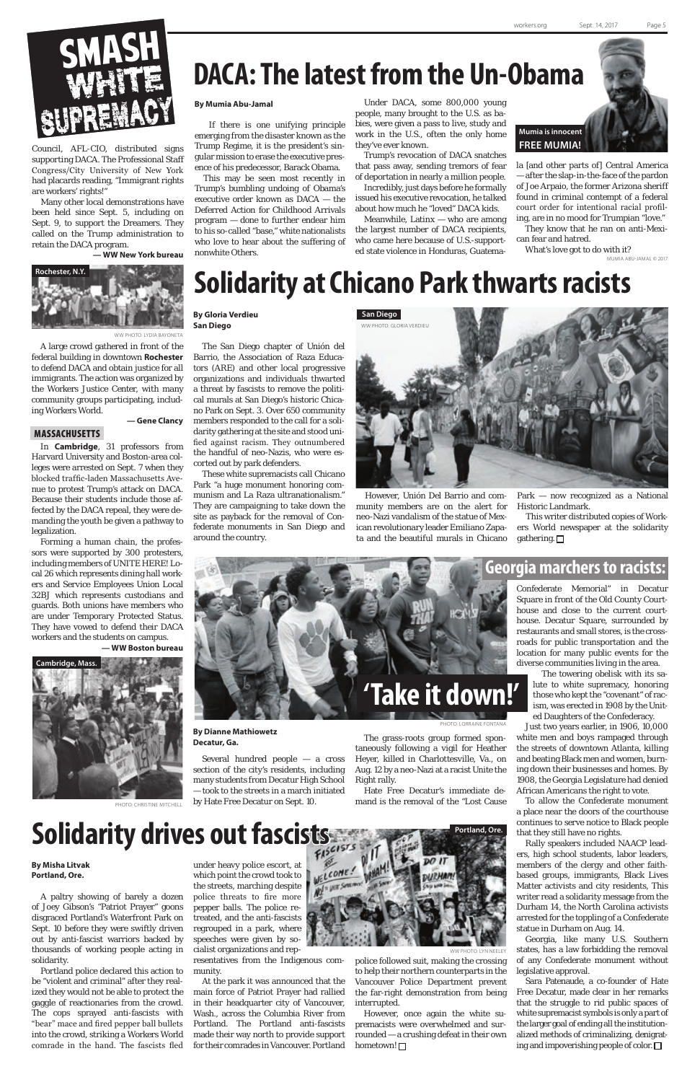## **DACA: The latest from the Un-Obama**

## **Solidarity at Chicano Park thwarts racists**

**By Mumia Abu-Jamal**

 If there is one unifying principle emerging from the disaster known as the Trump Regime, it is the president's singular mission to erase the executive presence of his predecessor, Barack Obama.

This may be seen most recently in Trump's bumbling undoing of Obama's executive order known as DACA — the Deferred Action for Childhood Arrivals program — done to further endear him to his so-called "base," white nationalists who love to hear about the suffering of nonwhite Others.

Meanwhile, Latin $x -$  who are among the largest number of DACA recipients, who came here because of U.S.-supported state violence in Honduras, Guatema-

Under DACA, some 800,000 young people, many brought to the U.S. as babies, were given a pass to live, study and work in the U.S., often the only home they've ever known.

Trump's revocation of DACA snatches that pass away, sending tremors of fear of deportation in nearly a million people.

Incredibly, just days before he formally issued his executive revocation, he talked about how much he "loved" DACA kids.

> This writer distributed copies of Workers World newspaper at the solidarity gathering.  $\Box$

> la [and other parts of] Central America — after the slap-in-the-face of the pardon of Joe Arpaio, the former Arizona sheriff found in criminal contempt of a federal court order for intentional racial profiling, are in no mood for Trumpian "love."

They know that he ran on anti-Mexican fear and hatred.

What's love got to do with it? MUMIA ABU-JAMAL © 2017



**By Gloria Verdieu San Diego**

The San Diego chapter of Unión del Barrio, the Association of Raza Educators (ARE) and other local progressive organizations and individuals thwarted a threat by fascists to remove the political murals at San Diego's historic Chicano Park on Sept. 3. Over 650 community members responded to the call for a solidarity gathering at the site and stood unified against racism. They outnumbered the handful of neo-Nazis, who were escorted out by park defenders.

These white supremacists call Chicano Park "a huge monument honoring communism and La Raza ultranationalism." They are campaigning to take down the site as payback for the removal of Confederate monuments in San Diego and around the country.

However, Unión Del Barrio and community members are on the alert for neo-Nazi vandalism of the statue of Mexican revolutionary leader Emiliano Zapata and the beautiful murals in Chicano Park — now recognized as a National Historic Landmark.



**By Dianne Mathiowetz Decatur, Ga.**

Several hundred people — a cross section of the city's residents, including many students from Decatur High School — took to the streets in a march initiated

by Hate Free Decatur on Sept. 10.

Confederate Memorial" in Decatur Square in front of the Old County Courthouse and close to the current courthouse. Decatur Square, surrounded by restaurants and small stores, is the crossroads for public transportation and the location for many public events for the diverse communities living in the area.

However, once again the white supremacists were overwhelmed and surrounded — a crushing defeat in their own hometown! □

The towering obelisk with its salute to white supremacy, honoring those who kept the "covenant" of racism, was erected in 1908 by the United Daughters of the Confederacy.

Just two years earlier, in 1906, 10,000 white men and boys rampaged through the streets of downtown Atlanta, killing and beating Black men and women, burning down their businesses and homes. By 1908, the Georgia Legislature had denied African Americans the right to vote.

To allow the Confederate monument a place near the doors of the courthouse continues to serve notice to Black people that they still have no rights.

Rally speakers included NAACP leaders, high school students, labor leaders, members of the clergy and other faithbased groups, immigrants, Black Lives Matter activists and city residents, This writer read a solidarity message from the Durham 14, the North Carolina activists arrested for the toppling of a Confederate statue in Durham on Aug. 14.

Georgia, like many U.S. Southern states, has a law forbidding the removal of any Confederate monument without legislative approval.

Sara Patenaude, a co-founder of Hate Free Decatur, made clear in her remarks that the struggle to rid public spaces of white supremacist symbols is only a part of the larger goal of ending all the institutionalized methods of criminalizing, denigrating and impoverishing people of color.

## **By Misha Litvak Portland, Ore.**

A paltry showing of barely a dozen of Joey Gibson's "Patriot Prayer" goons disgraced Portland's Waterfront Park on Sept. 10 before they were swiftly driven out by anti-fascist warriors backed by thousands of working people acting in solidarity.

Portland police declared this action to be "violent and criminal" after they realized they would not be able to protect the gaggle of reactionaries from the crowd. The cops sprayed anti-fascists with "bear" mace and fired pepper ball bullets into the crowd, striking a Workers World comrade in the hand. The fascists fled

under heavy police escort, at which point the crowd took to the streets, marching despite police threats to fire more pepper balls. The police retreated, and the anti-fascists regrouped in a park, where speeches were given by socialist organizations and rep-

resentatives from the Indigenous community.

At the park it was announced that the main force of Patriot Prayer had rallied in their headquarter city of Vancouver, Wash., across the Columbia River from Portland. The Portland anti-fascists made their way north to provide support for their comrades in Vancouver. Portland



YN NEELEY

The grass-roots group formed spontaneously following a vigil for Heather Heyer, killed in Charlottesville, Va., on Aug. 12 by a neo-Nazi at a racist Unite the Right rally.

**POTO: LORRAINE FONTANA** 

Hate Free Decatur's immediate de-

mand is the removal of the "Lost Cause

## **Solidarity drives out fascists**

## **Georgia marchers to racists:**



police followed suit, making the crossing to help their northern counterparts in the Vancouver Police Department prevent the far-right demonstration from being interrupted.

Council, AFL-CIO, distributed signs supporting DACA. The Professional Staff Congress/City University of New York had placards reading, "Immigrant rights are workers' rights!"

Many other local demonstrations have been held since Sept. 5, including on Sept. 9, to support the Dreamers. They called on the Trump administration to retain the DACA program.

**— WW New York bureau**



A large crowd gathered in front of the federal building in downtown **Rochester** to defend DACA and obtain justice for all immigrants. The action was organized by the Workers Justice Center, with many community groups participating, including Workers World.

**— Gene Clancy**

## MASSACHUSETTS

In **Cambridge**, 31 professors from Harvard University and Boston-area colleges were arrested on Sept. 7 when they blocked traffic-laden Massachusetts Avenue to protest Trump's attack on DACA. Because their students include those affected by the DACA repeal, they were demanding the youth be given a pathway to legalization.

Forming a human chain, the professors were supported by 300 protesters, including members of UNITE HERE! Local 26 which represents dining hall workers and Service Employees Union Local 32BJ which represents custodians and guards. Both unions have members who are under Temporary Protected Status. They have vowed to defend their DACA workers and the students on campus.

**— WW Boston bureau**



WW PHOTO: LYDIA BAYONET/

PHOTO: CHRISTINE MITCHELL

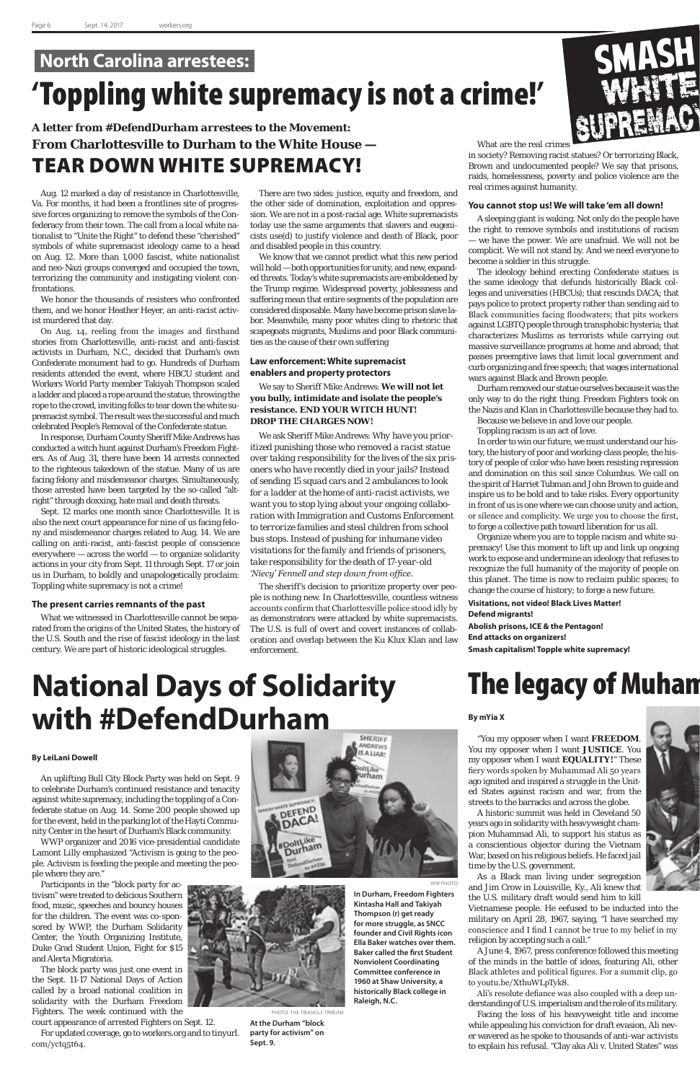## **North Carolina arrestees:** 'Toppling white supremacy is not a crime!'

## *A letter from #DefendDurham arrestees to the Movement:* **From Charlottesville to Durham to the White House —** TEAR DOWN WHITE SUPREMACY!

Aug. 12 marked a day of resistance in Charlottesville, Va. For months, it had been a frontlines site of progressive forces organizing to remove the symbols of the Confederacy from their town. The call from a local white nationalist to "Unite the Right" to defend these "cherished" symbols of white supremacist ideology came to a head on Aug. 12. More than 1,000 fascist, white nationalist and neo-Nazi groups converged and occupied the town, terrorizing the community and instigating violent confrontations.

We honor the thousands of resisters who confronted them, and we honor Heather Heyer, an anti-racist activist murdered that day.

On Aug. 14, reeling from the images and firsthand stories from Charlottesville, anti-racist and anti-fascist activists in Durham, N.C., decided that Durham's own Confederate monument had to go. Hundreds of Durham residents attended the event, where HBCU student and Workers World Party member Takiyah Thompson scaled a ladder and placed a rope around the statue, throwing the rope to the crowd, inviting folks to tear down the white supremacist symbol. The result was the successful and much celebrated People's Removal of the Confederate statue.

In response, Durham County Sheriff Mike Andrews has conducted a witch hunt against Durham's Freedom Fighters. As of Aug. 31, there have been 14 arrests connected to the righteous takedown of the statue. Many of us are facing felony and misdemeanor charges. Simultaneously, those arrested have been targeted by the so-called "altright" through doxxing, hate mail and death threats.

Sept. 12 marks one month since Charlottesville. It is also the next court appearance for nine of us facing felony and misdemeanor charges related to Aug. 14. We are calling on anti-racist, anti-fascist people of conscience everywhere — across the world — to organize solidarity actions in your city from Sept. 11 through Sept. 17 or join us in Durham, to boldly and unapologetically proclaim: Toppling white supremacy is not a crime!

## **The present carries remnants of the past**

What we witnessed in Charlottesville cannot be separated from the origins of the United States, the history of the U.S. South and the rise of fascist ideology in the last century. We are part of historic ideological struggles.

There are two sides: justice, equity and freedom, and the other side of domination, exploitation and oppression. We are not in a post-racial age. White supremacists today use the same arguments that slavers and eugenicists use(d) to justify violence and death of Black, poor and disabled people in this country.

We know that we cannot predict what this new period will hold — both opportunities for unity, and new, expanded threats. Today's white supremacists are emboldened by the Trump regime. Widespread poverty, joblessness and suffering mean that entire segments of the population are considered disposable. Many have become prison slave labor. Meanwhile, many poor whites cling to rhetoric that scapegoats migrants, Muslims and poor Black communities as the cause of their own suffering

## **Law enforcement: White supremacist enablers and property protectors**

We say to Sheriff Mike Andrews: **We will not let you bully, intimidate and isolate the people's resistance. END YOUR WITCH HUNT! DROP THE CHARGES NOW!**

We ask Sheriff Mike Andrews: W*hy have you prioritized punishing those who removed a racist statue over taking responsibility for the lives of the six prisoners who have recently died in your jails? Instead of sending 15 squad cars and 2 ambulances to look for a ladder at the home of anti-racist activists, we want you to stop lying about your ongoing collaboration with Immigration and Customs Enforcement to terrorize families and steal children from school bus stops. Instead of pushing for inhumane video visitations for the family and friends of prisoners, take responsibility for the death of 17-year-old 'Niecy' Fennell and step down from office.*

The sheriff's decision to prioritize property over people is nothing new. In Charlottesville, countless witness accounts confirm that Charlottesville police stood idly by as demonstrators were attacked by white supremacists. The U.S. is full of overt and covert instances of collaboration and overlap between the Ku Klux Klan and law enforcement.

What are the real crimes

in society? Removing racist statues? Or terrorizing Black, Brown and undocumented people? We say that prisons, raids, homelessness, poverty and police violence are the real crimes against humanity.

## **You cannot stop us! We will take 'em all down!**

A sleeping giant is waking. Not only do the people have the right to remove symbols and institutions of racism — we have the power. We are unafraid. We will not be complicit. We will not stand by. And we need everyone to become a soldier in this struggle.

The ideology behind erecting Confederate statues is the same ideology that defunds historically Black colleges and universities (HBCUs); that rescinds DACA; that pays police to protect property rather than sending aid to Black communities facing floodwaters; that pits workers against LGBTQ people through transphobic hysteria; that characterizes Muslims as terrorists while carrying out massive surveillance programs at home and abroad; that passes preemptive laws that limit local government and curb organizing and free speech; that wages international wars against Black and Brown people.

Durham removed our statue ourselves because it was the only way to do the right thing. Freedom Fighters took on the Nazis and Klan in Charlottesville because they had to.

Because we believe in and love our people.

Toppling racism is an act of love.

In order to win our future, we must understand our history, the history of poor and working-class people, the history of people of color who have been resisting repression and domination on this soil since Columbus. We call on the spirit of Harriet Tubman and John Brown to guide and inspire us to be bold and to take risks. Every opportunity in front of us is one where we can choose unity and action, or silence and complicity. We urge you to choose the first, to forge a collective path toward liberation for us all.

Organize where you are to topple racism and white supremacy! Use this moment to lift up and link up ongoing work to expose and undermine an ideology that refuses to recognize the full humanity of the majority of people on this planet. The time is now to reclaim public spaces; to change the course of history; to forge a new future.

**Visitations, not video! Black Lives Matter! Defend migrants!**

**Abolish prisons, ICE & the Pentagon! End attacks on organizers! Smash capitalism! Topple white supremacy!**

## **The legacy of Muhan**

### **By LeiLani Dowell**

An uplifting Bull City Block Party was held on Sept. 9 to celebrate Durham's continued resistance and tenacity

## **SHERIFF** ANDREWS **SALIAR!** urham

against white supremacy, including the toppling of a Confederate statue on Aug. 14. Some 200 people showed up for the event, held in the parking lot of the Hayti Community Center in the heart of Durham's Black community.

WWP organizer and 2016 vice-presidential candidate Lamont Lilly emphasized "Activism is going to the people. Activism is feeding the people and meeting the people where they are."

Participants in the "block party for activism" were treated to delicious Southern food, music, speeches and bouncy houses for the children. The event was co-sponsored by WWP, the Durham Solidarity Center, the Youth Organizing Institute, Duke Grad Student Union, Fight for \$15 and Alerta Migratoria.

The block party was just one event in the Sept. 11-17 National Days of Action called by a broad national coalition in solidarity with the Durham Freedom Fighters. The week continued with the court appearance of arrested Fighters on Sept. 12.

For updated coverage, go to workers.org and to tinyurl. com/yctq5t64.



**In Durham, Freedom Fighters Kintasha Hall and Takiyah Thompson (r) get ready for more struggle, as SNCC founder and Civil Rights icon Ella Baker watches over them. Baker called the first Student Nonviolent Coordinating Committee conference in 1960 at Shaw University, a historically Black college in Raleigh, N.C.**  WW PHOTO

**At the Durham "block party for activism" on Sept. 9.**

PHOTO: THE TRIANGLE TRIBUNE

## **By mYia X**

"You my opposer when I want **FREEDOM**. You my opposer when I want **JUSTICE**. You my opposer when I want **EQUALITY!**" These fiery words spoken by Muhammad Ali 50 years ago ignited and inspired a struggle in the United States against racism and war, from the



streets to the barracks and across the globe.

A historic summit was held in Cleveland 50 years ago in solidarity with heavyweight champion Muhammad Ali, to support his status as a conscientious objector during the Vietnam War, based on his religious beliefs. He faced jail time by the U.S. government.

As a Black man living under segregation and Jim Crow in Louisville, Ky., Ali knew that the U.S. military draft would send him to kill

Vietnamese people. He eefused to be inducted into the military on April 28, 1967, saying, "I have searched my conscience and I find I cannot be true to my belief in my religion by accepting such a call."

A June 4, 1967, press conference followed this meeting of the minds in the battle of ideas, featuring Ali, other Black athletes and political figures. For a summit clip, go to youtu.be/XthuWLpTyk8.

Ali's resolute defiance was also coupled with a deep understanding of U.S. imperialism and the role of its military.

Facing the loss of his heavyweight title and income while appealing his conviction for draft evasion, Ali never wavered as he spoke to thousands of anti-war activists to explain his refusal. "Clay aka Ali v. United States" was



## **National Days of Solidarity with #DefendDurham**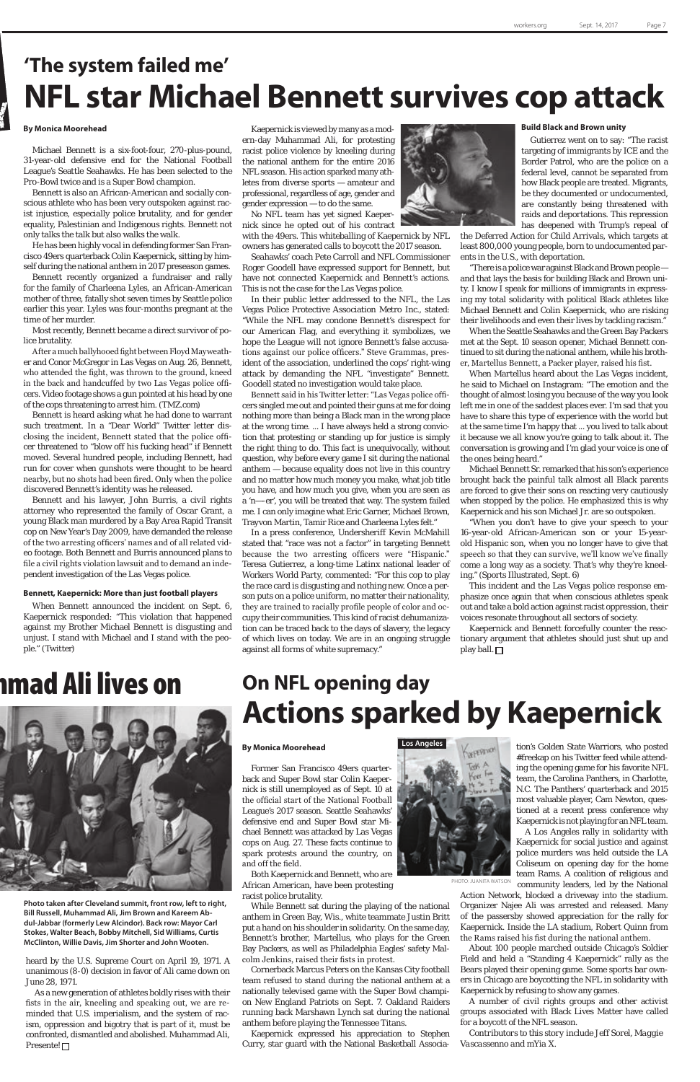## **'The system failed me' NFL star Michael Bennett survives cop attack**

### **By Monica Moorehead**

Michael Bennett is a six-foot-four, 270-plus-pound, 31-year-old defensive end for the National Football League's Seattle Seahawks. He has been selected to the Pro-Bowl twice and is a Super Bowl champion.

Bennett is also an African-American and socially conscious athlete who has been very outspoken against racist injustice, especially police brutality, and for gender equality, Palestinian and Indigenous rights. Bennett not only talks the talk but also walks the walk.

He has been highly vocal in defending former San Francisco 49ers quarterback Colin Kaepernick, sitting by himself during the national anthem in 2017 preseason games.

Bennett recently organized a fundraiser and rally for the family of Charleena Lyles, an African-American mother of three, fatally shot seven times by Seattle police earlier this year. Lyles was four-months pregnant at the time of her murder.

Most recently, Bennett became a direct survivor of police brutality.

After a much ballyhooed fight between Floyd Mayweather and Conor McGregor in Las Vegas on Aug. 26, Bennett, who attended the fight, was thrown to the ground, kneed in the back and handcuffed by two Las Vegas police officers. Video footage shows a gun pointed at his head by one of the cops threatening to arrest him. (TMZ.com)

Bennett is heard asking what he had done to warrant such treatment. In a "Dear World" Twitter letter disclosing the incident, Bennett stated that the police officer threatened to "blow off his fucking head" if Bennett moved. Several hundred people, including Bennett, had run for cover when gunshots were thought to be heard nearby, but no shots had been fired. Only when the police discovered Bennett's identity was he released.

Bennett and his lawyer, John Burris, a civil rights attorney who represented the family of Oscar Grant, a young Black man murdered by a Bay Area Rapid Transit cop on New Year's Day 2009, have demanded the release of the two arresting officers' names and of all related video footage. Both Bennett and Burris announced plans to file a civil rights violation lawsuit and to demand an independent investigation of the Las Vegas police.

#### **Bennett, Kaepernick: More than just football players**

When Bennett announced the incident on Sept. 6, Kaepernick responded: "This violation that happened against my Brother Michael Bennett is disgusting and unjust. I stand with Michael and I stand with the people." (Twitter)

## ımad Ali lives on



Kaepernick is viewed by many as a modern-day Muhammad Ali, for protesting racist police violence by kneeling during the national anthem for the entire 2016 NFL season. His action sparked many athletes from diverse sports — amateur and professional, regardless of age, gender and gender expression — to do the same.

No NFL team has yet signed Kaepernick since he opted out of his contract

with the 49ers. This whiteballing of Kaepernick by NFL owners has generated calls to boycott the 2017 season.

Seahawks' coach Pete Carroll and NFL Commissioner Roger Goodell have expressed support for Bennett, but have not connected Kaepernick and Bennett's actions. This is not the case for the Las Vegas police.

In their public letter addressed to the NFL, the Las Vegas Police Protective Association Metro Inc., stated: "While the NFL may condone Bennett's disrespect for our American Flag, and everything it symbolizes, we hope the League will not ignore Bennett's false accusations against our police officers." Steve Grammas, president of the association, underlined the cops' right-wing attack by demanding the NFL "investigate" Bennett. Goodell stated no investigation would take place.

> Kaepernick and Bennett forcefully counter the reactionary argument that athletes should just shut up and play ball.  $\Box$

Bennett said in his Twitter letter: "Las Vegas police officers singled me out and pointed their guns at me for doing nothing more than being a Black man in the wrong place at the wrong time. ... I have always held a strong conviction that protesting or standing up for justice is simply the right thing to do. This fact is unequivocally, without question, why before every game I sit during the national anthem — because equality does not live in this country and no matter how much money you make, what job title you have, and how much you give, when you are seen as a 'n—-er', you will be treated that way. The system failed me. I can only imagine what Eric Garner, Michael Brown, Trayvon Martin, Tamir Rice and Charleena Lyles felt."

In a press conference, Undersheriff Kevin McMahill stated that "race was not a factor" in targeting Bennett because the two arresting officers were "Hispanic." Teresa Gutierrez, a long-time Latinx national leader of Workers World Party, commented: "For this cop to play the race card is disgusting and nothing new. Once a person puts on a police uniform, no matter their nationality, they are trained to racially profile people of color and occupy their communities. This kind of racist dehumanization can be traced back to the days of slavery, the legacy of which lives on today. We are in an ongoing struggle against all forms of white supremacy."



### **Build Black and Brown unity**

As a new generation of athletes boldly rises with their fists in the air, kneeling and speaking out, we are reminded that U.S. imperialism, and the system of racism, oppression and bigotry that is part of it, must be confronted, dismantled and abolished. Muhammad Ali, Presente! □

Gutierrez went on to say: "The racist targeting of immigrants by ICE and the Border Patrol, who are the police on a federal level, cannot be separated from how Black people are treated. Migrants, be they documented or undocumented, are constantly being threatened with raids and deportations. This repression has deepened with Trump's repeal of

the Deferred Action for Child Arrivals, which targets at least 800,000 young people, born to undocumented parents in the U.S., with deportation.

"There is a police war against Black and Brown people and that lays the basis for building Black and Brown unity. I know I speak for millions of immigrants in expressing my total solidarity with political Black athletes like Michael Bennett and Colin Kaepernick, who are risking their livelihoods and even their lives by tackling racism."

When the Seattle Seahawks and the Green Bay Packers met at the Sept. 10 season opener, Michael Bennett continued to sit during the national anthem, while his brother, Martellus Bennett, a Packer player, raised his fist.

When Martellus heard about the Las Vegas incident, he said to Michael on Instagram: "The emotion and the thought of almost losing you because of the way you look left me in one of the saddest places ever. I'm sad that you have to share this type of experience with the world but at the same time I'm happy that ... you lived to talk about it because we all know you're going to talk about it. The conversation is growing and I'm glad your voice is one of the ones being heard."

Michael Bennett Sr. remarked that his son's experience brought back the painful talk almost all Black parents are forced to give their sons on reacting very cautiously when stopped by the police. He emphasized this is why Kaepernick and his son Michael Jr. are so outspoken.

"When you don't have to give your speech to your 16-year-old African-American son or your 15-yearold Hispanic son, when you no longer have to give that speech so that they can survive, we'll know we've finally come a long way as a society. That's why they're kneeling." (Sports Illustrated, Sept. 6)

This incident and the Las Vegas police response emphasize once again that when conscious athletes speak out and take a bold action against racist oppression, their voices resonate throughout all sectors of society.

## **On NFL opening day Actions sparked by Kaepernick**

### **By Monica Moorehead**

Former San Francisco 49ers quarterback and Super Bowl star Colin Kaepernick is still unemployed as of Sept. 10 at

the official start of the National Football League's 2017 season. Seattle Seahawks' defensive end and Super Bowl star Michael Bennett was attacked by Las Vegas cops on Aug. 27. These facts continue to spark protests around the country, on and off the field.

Both Kaepernick and Bennett, who are African American, have been protesting racist police brutality.

While Bennett sat during the playing of the national anthem in Green Bay, Wis., white teammate Justin Britt put a hand on his shoulder in solidarity. On the same day, Bennett's brother, Martellus, who plays for the Green Bay Packers, as well as Philadelphia Eagles' safety Malcolm Jenkins, raised their fists in protest.

Cornerback Marcus Peters on the Kansas City football team refused to stand during the national anthem at a nationally televised game with the Super Bowl champion New England Patriots on Sept. 7. Oakland Raiders running back Marshawn Lynch sat during the national anthem before playing the Tennessee Titans.

Kaepernick expressed his appreciation to Stephen Curry, star guard with the National Basketball Association's Golden State Warriors, who posted #freekap on his Twitter feed while attending the opening game for his favorite NFL team, the Carolina Panthers, in Charlotte, N.C. The Panthers' quarterback and 2015

most valuable player, Cam Newton, questioned at a recent press conference why Kaepernick is not playing for an NFL team.

A Los Angeles rally in solidarity with Kaepernick for social justice and against police murders was held outside the LA Coliseum on opening day for the home team Rams. A coalition of religious and community leaders, led by the National

Action Network, blocked a driveway into the stadium. Organizer Najee Ali was arrested and released. Many of the passersby showed appreciation for the rally for Kaepernick. Inside the LA stadium, Robert Quinn from the Rams raised his fist during the national anthem.

About 100 people marched outside Chicago's Soldier Field and held a "Standing 4 Kaepernick" rally as the Bears played their opening game. Some sports bar owners in Chicago are boycotting the NFL in solidarity with Kaepernick by refusing to show any games.

A number of civil rights groups and other activist groups associated with Black Lives Matter have called for a boycott of the NFL season.

*Contributors to this story include Jeff Sorel, Maggie Vascassenno and mYia X.*

heard by the U.S. Supreme Court on April 19, 1971. A unanimous (8-0) decision in favor of Ali came down on June 28, 1971.

**Photo taken after Cleveland summit, front row, left to right, Bill Russell, Muhammad Ali, Jim Brown and Kareem Abdul-Jabbar (formerly Lew Alcindor). Back row: Mayor Carl Stokes, Walter Beach, Bobby Mitchell, Sid Williams, Curtis McClinton, Willie Davis, Jim Shorter and John Wooten.**



PHOTO: JUANITA WATSON

SUPREMACY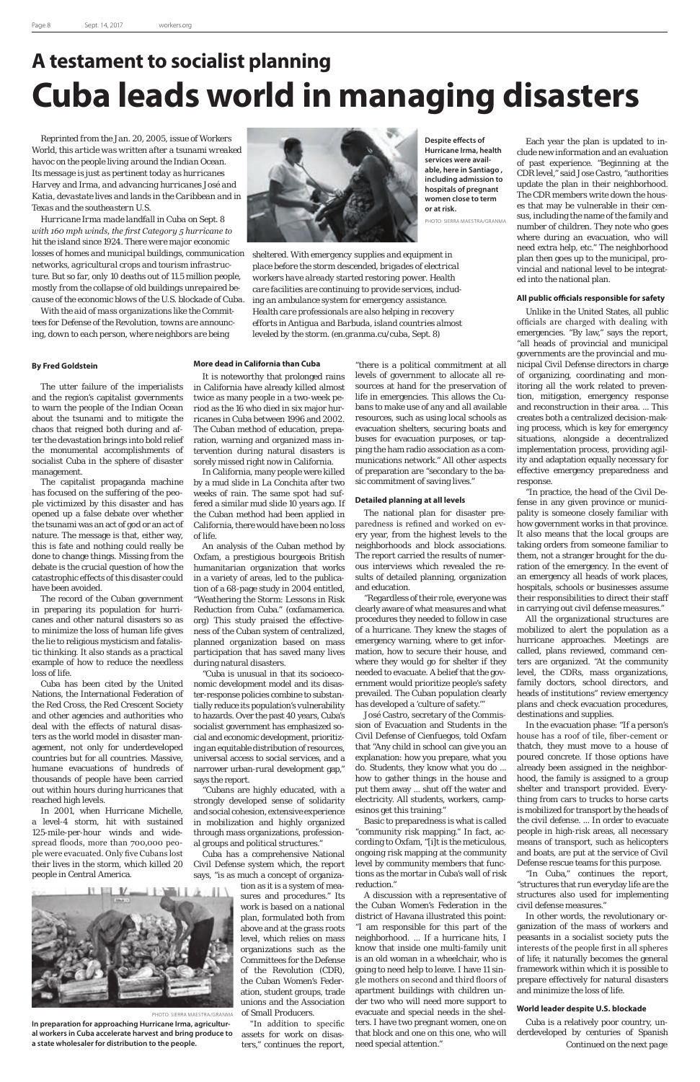## **A testament to socialist planning Cuba leads world in managing disasters**

*Reprinted from the Jan. 20, 2005, issue of Workers World, this article was written after a tsunami wreaked havoc on the people living around the Indian Ocean. Its message is just as pertinent today as hurricanes Harvey and Irma, and advancing hurricanes José and Katia, devastate lives and lands in the Caribbean and in Texas and the southeastern U.S.*

*Hurricane Irma made landfall in Cuba on Sept. 8 with 160 mph winds, the first Category 5 hurricane to hit the island since 1924. There were major economic losses of homes and municipal buildings, communication networks, agricultural crops and tourism infrastructure. But so far, only 10 deaths out of 11.5 million people, mostly from the collapse of old buildings unrepaired because of the economic blows of the U.S. blockade of Cuba.*

*With the aid of mass organizations like the Committees for Defense of the Revolution, towns are announcing, down to each person, where neighbors are being* 



### **By Fred Goldstein**

The utter failure of the imperialists and the region's capitalist governments to warn the people of the Indian Ocean about the tsunami and to mitigate the chaos that reigned both during and after the devastation brings into bold relief the monumental accomplishments of socialist Cuba in the sphere of disaster management.

The capitalist propaganda machine has focused on the suffering of the people victimized by this disaster and has opened up a false debate over whether the tsunami was an act of god or an act of nature. The message is that, either way, this is fate and nothing could really be done to change things. Missing from the debate is the crucial question of how the catastrophic effects of this disaster could have been avoided.

The record of the Cuban government in preparing its population for hurricanes and other natural disasters so as to minimize the loss of human life gives the lie to religious mysticism and fatalistic thinking. It also stands as a practical example of how to reduce the needless loss of life.

Cuba has been cited by the United Nations, the International Federation of the Red Cross, the Red Crescent Society and other agencies and authorities who deal with the effects of natural disasters as the world model in disaster management, not only for underdeveloped countries but for all countries. Massive, humane evacuations of hundreds of thousands of people have been carried out within hours during hurricanes that reached high levels. In 2001, when Hurricane Michelle, a level-4 storm, hit with sustained 125-mile-per-hour winds and widespread floods, more than 700,000 people were evacuated. Only five Cubans lost their lives in the storm, which killed 20 people in Central America.

## **More dead in California than Cuba**

It is noteworthy that prolonged rains in California have already killed almost twice as many people in a two-week period as the 16 who died in six major hurricanes in Cuba between 1996 and 2002. The Cuban method of education, preparation, warning and organized mass intervention during natural disasters is sorely missed right now in California.

In California, many people were killed by a mud slide in La Conchita after two weeks of rain. The same spot had suffered a similar mud slide 10 years ago. If the Cuban method had been applied in California, there would have been no loss of life.

An analysis of the Cuban method by Oxfam, a prestigious bourgeois British humanitarian organization that works in a variety of areas, led to the publication of a 68-page study in 2004 entitled, "Weathering the Storm: Lessons in Risk Reduction from Cuba." (oxfamamerica. org) This study praised the effectiveness of the Cuban system of centralized, planned organization based on mass participation that has saved many lives during natural disasters.

"Cuba is unusual in that its socioeconomic development model and its disaster-response policies combine to substantially reduce its population's vulnerability to hazards. Over the past 40 years, Cuba's socialist government has emphasized social and economic development, prioritizing an equitable distribution of resources, universal access to social services, and a narrower urban-rural development gap," says the report.

"Cubans are highly educated, with a

strongly developed sense of solidarity and social cohesion, extensive experience in mobilization and highly organized through mass organizations, professional groups and political structures."

Cuba has a comprehensive National Civil Defense system which, the report says, "is as much a concept of organiza-

> tion as it is a system of measures and procedures." Its work is based on a national plan, formulated both from above and at the grass roots level, which relies on mass organizations such as the Committees for the Defense of the Revolution (CDR), the Cuban Women's Federation, student groups, trade unions and the Association of Small Producers.

"In addition to specific assets for work on disasters," continues the report,

"there is a political commitment at all levels of government to allocate all resources at hand for the preservation of life in emergencies. This allows the Cubans to make use of any and all available resources, such as using local schools as evacuation shelters, securing boats and buses for evacuation purposes, or tapping the ham radio association as a communications network." All other aspects of preparation are "secondary to the basic commitment of saving lives."

### **Detailed planning at all levels**

The national plan for disaster preparedness is refined and worked on every year, from the highest levels to the neighborhoods and block associations. The report carried the results of numerous interviews which revealed the results of detailed planning, organization and education.

"Regardless of their role, everyone was clearly aware of what measures and what procedures they needed to follow in case of a hurricane. They knew the stages of emergency warning, where to get information, how to secure their house, and where they would go for shelter if they needed to evacuate. A belief that the government would prioritize people's safety prevailed. The Cuban population clearly has developed a 'culture of safety.'"

José Castro, secretary of the Commission of Evacuation and Students in the Civil Defense of Cienfuegos, told Oxfam that "Any child in school can give you an explanation: how you prepare, what you do. Students, they know what you do ... how to gather things in the house and put them away ... shut off the water and electricity. All students, workers, campesinos get this training." Basic to preparedness is what is called "community risk mapping." In fact, according to Oxfam, "[i]t is the meticulous, ongoing risk mapping at the community level by community members that functions as the mortar in Cuba's wall of risk reduction." A discussion with a representative of the Cuban Women's Federation in the district of Havana illustrated this point: "I am responsible for this part of the neighborhood. ... If a hurricane hits, I know that inside one multi-family unit is an old woman in a wheelchair, who is going to need help to leave. I have 11 single mothers on second and third floors of apartment buildings with children under two who will need more support to evacuate and special needs in the shelters. I have two pregnant women, one on that block and one on this one, who will need special attention."

Each year the plan is updated to include new information and an evaluation of past experience. "Beginning at the CDR level," said Jose Castro, "authorities update the plan in their neighborhood. The CDR members write down the houses that may be vulnerable in their census, including the name of the family and number of children. They note who goes where during an evacuation, who will need extra help, etc." The neighborhood plan then goes up to the municipal, provincial and national level to be integrated into the national plan.

### **All public officials responsible for safety**

Unlike in the United States, all public officials are charged with dealing with emergencies. "By law," says the report, "all heads of provincial and municipal governments are the provincial and municipal Civil Defense directors in charge of organizing, coordinating and monitoring all the work related to prevention, mitigation, emergency response and reconstruction in their area. ... This creates both a centralized decision-making process, which is key for emergency situations, alongside a decentralized implementation process, providing agility and adaptation equally necessary for effective emergency preparedness and response.

"In practice, the head of the Civil Defense in any given province or municipality is someone closely familiar with how government works in that province. It also means that the local groups are taking orders from someone familiar to them, not a stranger brought for the duration of the emergency. In the event of an emergency all heads of work places, hospitals, schools or businesses assume their responsibilities to direct their staff in carrying out civil defense measures."

All the organizational structures are mobilized to alert the population as a hurricane approaches. Meetings are called, plans reviewed, command centers are organized. "At the community level, the CDRs, mass organizations, family doctors, school directors, and heads of institutions" review emergency plans and check evacuation procedures, destinations and supplies.

In the evacuation phase: "If a person's house has a roof of tile, fiber-cement or thatch, they must move to a house of poured concrete. If those options have already been assigned in the neighborhood, the family is assigned to a group shelter and transport provided. Everything from cars to trucks to horse carts is mobilized for transport by the heads of the civil defense. ... In order to evacuate people in high-risk areas, all necessary means of transport, such as helicopters and boats, are put at the service of Civil Defense rescue teams for this purpose. "In Cuba," continues the report, "structures that run everyday life are the structures also used for implementing civil defense measures." In other words, the revolutionary organization of the mass of workers and peasants in a socialist society puts the interests of the people first in all spheres of life; it naturally becomes the general framework within which it is possible to prepare effectively for natural disasters and minimize the loss of life.

### **World leader despite U.S. blockade**

*sheltered. With emergency supplies and equipment in place before the storm descended, brigades of electrical workers have already started restoring power. Health care facilities are continuing to provide services, including an ambulance system for emergency assistance. Health care professionals are also helping in recovery efforts in Antigua and Barbuda, island countries almost leveled by the storm. (en.granma.cu/cuba, Sept. 8)*

> Cuba is a relatively poor country, underdeveloped by centuries of Spanish *Continued on the next page*

**Despite effects of Hurricane Irma, health services were available, here in Santiago , including admission to hospitals of pregnant women close to term**

**or at risk.**

PHOTO: SIERRA MAESTRA/GRANMA



PHOTO: SIERRA MAESTRA/GRANMA

**In preparation for approaching Hurricane Irma, agricultural workers in Cuba accelerate harvest and bring produce to a state wholesaler for distribution to the people.**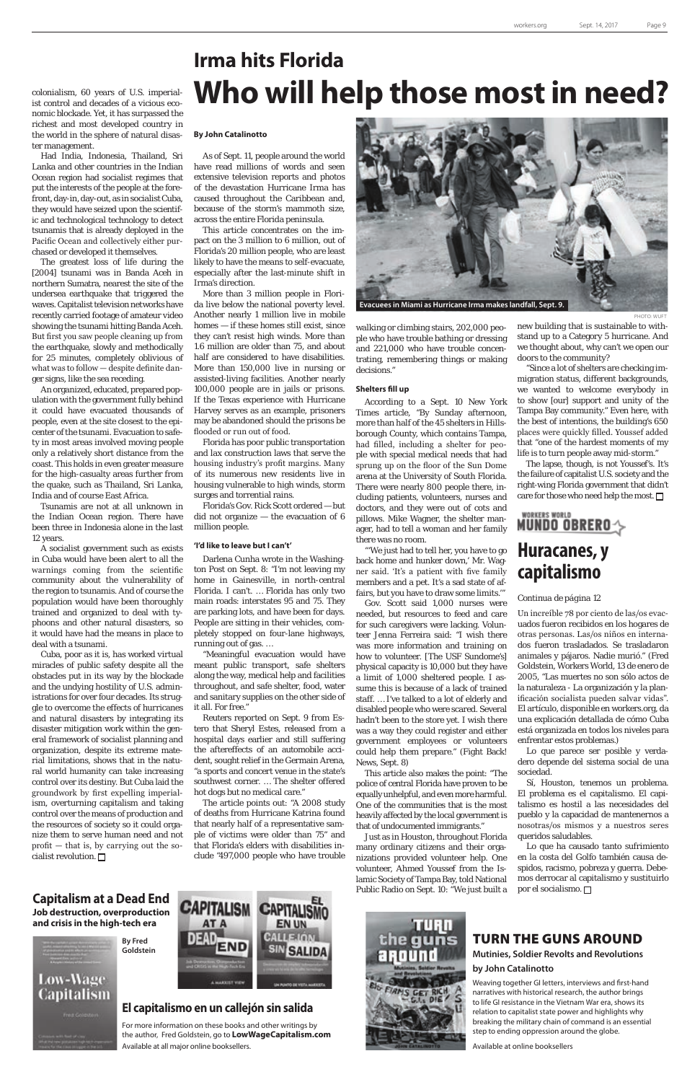## **Capitalism at a Dead End Job destruction, overproduction and crisis in the high-tech era**

## **El capitalismo en un callejón sin salida**

For more information on these books and other writings by the author, Fred Goldstein, go to **LowWageCapitalism.com** Available at all major online booksellers.



colonialism, 60 years of U.S. imperialist control and decades of a vicious economic blockade. Yet, it has surpassed the richest and most developed country in the world in the sphere of natural disaster management.

Had India, Indonesia, Thailand, Sri Lanka and other countries in the Indian Ocean region had socialist regimes that put the interests of the people at the forefront, day-in, day-out, as in socialist Cuba, they would have seized upon the scientific and technological technology to detect tsunamis that is already deployed in the Pacific Ocean and collectively either purchased or developed it themselves.

Cuba, poor as it is, has worked virtual miracles of public safety despite all the obstacles put in its way by the blockade and the undying hostility of U.S. administrations for over four decades. Its struggle to overcome the effects of hurricanes and natural disasters by integrating its disaster mitigation work within the general framework of socialist planning and organization, despite its extreme material limitations, shows that in the natural world humanity can take increasing control over its destiny. But Cuba laid the groundwork by first expelling imperialism, overturning capitalism and taking control over the means of production and the resources of society so it could organize them to serve human need and not profit — that is, by carrying out the socialist revolution.  $\Box$ 

The greatest loss of life during the [2004] tsunami was in Banda Aceh in northern Sumatra, nearest the site of the undersea earthquake that triggered the waves. Capitalist television networks have recently carried footage of amateur video showing the tsunami hitting Banda Aceh. But first you saw people cleaning up from the earthquake, slowly and methodically for 25 minutes, completely oblivious of what was to follow — despite definite danger signs, like the sea receding.

An organized, educated, prepared population with the government fully behind it could have evacuated thousands of people, even at the site closest to the epicenter of the tsunami. Evacuation to safety in most areas involved moving people only a relatively short distance from the coast. This holds in even greater measure for the high-casualty areas further from the quake, such as Thailand, Sri Lanka, India and of course East Africa.

Tsunamis are not at all unknown in the Indian Ocean region. There have been three in Indonesia alone in the last 12 years.

A socialist government such as exists in Cuba would have been alert to all the warnings coming from the scientific community about the vulnerability of the region to tsunamis. And of course the population would have been thoroughly trained and organized to deal with typhoons and other natural disasters, so it would have had the means in place to deal with a tsunami.

## **Irma hits Florida Who will help those most in need?**

### **By John Catalinotto**

As of Sept. 11, people around the world have read millions of words and seen extensive television reports and photos of the devastation Hurricane Irma has caused throughout the Caribbean and, because of the storm's mammoth size, across the entire Florida peninsula.

This article concentrates on the impact on the 3 million to 6 million, out of Florida's 20 million people, who are least likely to have the means to self-evacuate, especially after the last-minute shift in Irma's direction.

More than 3 million people in Florida live below the national poverty level. Another nearly 1 million live in mobile homes — if these homes still exist, since they can't resist high winds. More than 1.6 million are older than 75, and about half are considered to have disabilities. More than 150,000 live in nursing or assisted-living facilities. Another nearly 100,000 people are in jails or prisons. If the Texas experience with Hurricane Harvey serves as an example, prisoners may be abandoned should the prisons be flooded or run out of food.

> The lapse, though, is not Youssef's. It's the failure of capitalist U.S. society and the right-wing Florida government that didn't care for those who need help the most.  $\Box$

Florida has poor public transportation and lax construction laws that serve the housing industry's profit margins. Many of its numerous new residents live in housing vulnerable to high winds, storm surges and torrential rains.

> Sí, Houston, tenemos un problema. El problema es el capitalismo. El capitalismo es hostil a las necesidades del pueblo y la capacidad de mantenernos a nosotras/os mismos y a nuestros seres queridos saludables. Lo que ha causado tanto sufrimiento en la costa del Golfo también causa despidos, racismo, pobreza y guerra. Debemos derrocar al capitalismo y sustituirlo por el socialismo.  $\square$

Florida's Gov. Rick Scott ordered — but did not organize — the evacuation of 6 million people.

### **'I'd like to leave but I can't'**

Darlena Cunha wrote in the Washington Post on Sept. 8: "I'm not leaving my home in Gainesville, in north-central Florida. I can't. … Florida has only two main roads: interstates 95 and 75. They are parking lots, and have been for days. People are sitting in their vehicles, completely stopped on four-lane highways, running out of gas. …

"Meaningful evacuation would have meant public transport, safe shelters along the way, medical help and facilities throughout, and safe shelter, food, water and sanitary supplies on the other side of it all. For free."

Reuters reported on Sept. 9 from Estero that Sheryl Estes, released from a hospital days earlier and still suffering the aftereffects of an automobile accident, sought relief in the Germain Arena, "a sports and concert venue in the state's southwest corner. … The shelter offered hot dogs but no medical care."



The article points out: "A 2008 study of deaths from Hurricane Katrina found that nearly half of a representative sample of victims were older than 75" and that Florida's elders with disabilities include "497,000 people who have trouble

walking or climbing stairs, 202,000 people who have trouble bathing or dressing and 221,000 who have trouble concentrating, remembering things or making decisions."

#### **Shelters fill up**

According to a Sept. 10 New York Times article, "By Sunday afternoon, more than half of the 45 shelters in Hillsborough County, which contains Tampa, had filled, including a shelter for people with special medical needs that had sprung up on the floor of the Sun Dome arena at the University of South Florida. There were nearly 800 people there, including patients, volunteers, nurses and doctors, and they were out of cots and pillows. Mike Wagner, the shelter manager, had to tell a woman and her family there was no room.

"'We just had to tell her, you have to go back home and hunker down,' Mr. Wagner said. 'It's a patient with five family members and a pet. It's a sad state of affairs, but you have to draw some limits.'"

Gov. Scott said 1,000 nurses were needed, but resources to feed and care for such caregivers were lacking. Volunteer Jenna Ferreira said: "I wish there was more information and training on how to volunteer. [The USF Sundome's] physical capacity is 10,000 but they have a limit of 1,000 sheltered people. I assume this is because of a lack of trained staff. … I've talked to a lot of elderly and disabled people who were scared. Several hadn't been to the store yet. I wish there was a way they could register and either government employees or volunteers could help them prepare." (Fight Back! News, Sept. 8)

This article also makes the point: "The police of central Florida have proven to be equally unhelpful, and even more harmful. One of the communities that is the most heavily affected by the local government is that of undocumented immigrants." Just as in Houston, throughout Florida many ordinary citizens and their organizations provided volunteer help. One volunteer, Ahmed Youssef from the Islamic Society of Tampa Bay, told National Public Radio on Sept. 10: "We just built a new building that is sustainable to withstand up to a Category 5 hurricane. And we thought about, why can't we open our doors to the community?

"Since a lot of shelters are checking immigration status, different backgrounds, we wanted to welcome everybody in to show [our] support and unity of the Tampa Bay community." Even here, with the best of intentions, the building's 650 places were quickly filled. Youssef added that "one of the hardest moments of my life is to turn people away mid-storm."

Un increíble 78 por ciento de las/os evacuados fueron recibidos en los hogares de otras personas. Las/os niños en internados fueron trasladados. Se trasladaron animales y pájaros. Nadie murió." (Fred Goldstein, Workers World, 13 de enero de 2005, "Las muertes no son sólo actos de la naturaleza - La organización y la planificación socialista pueden salvar vidas". El artículo, disponible en workers.org, da una explicación detallada de cómo Cuba está organizada en todos los niveles para enfrentar estos problemas.)

Lo que parece ser posible y verdadero depende del sistema social de una sociedad.

## *Continua de página 12*



## TURN THE GUNS AROUND

**Mutinies, Soldier Revolts and Revolutions**

## **by John Catalinotto**

Weaving together GI letters, interviews and first-hand narratives with historical research, the author brings to life GI resistance in the Vietnam War era, shows its relation to capitalist state power and highlights why breaking the military chain of command is an essential step to ending oppression around the globe.

Available at online booksellers

**By Fred** 

**Goldstein**

## **Low-Wage Capitalism**





**Evacuees in Miami as Hurricane Irma makes landfall, Sept. 9.**

PHOTO: WUFT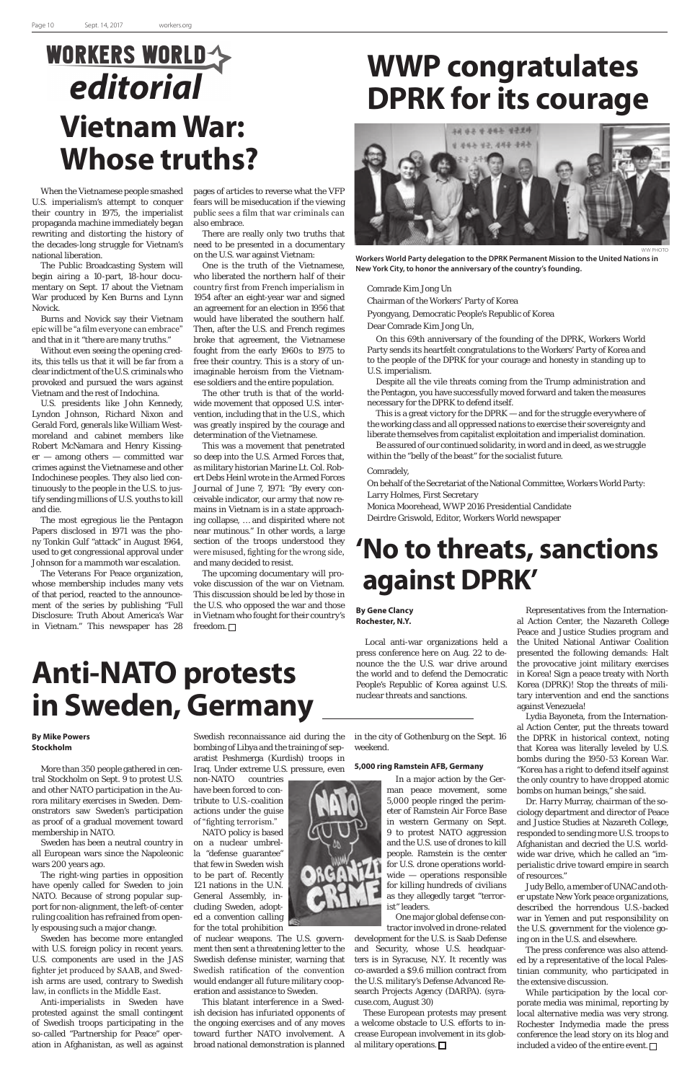## **WORKERS WORLD**editorial **Vietnam War: Whose truths?**

When the Vietnamese people smashed U.S. imperialism's attempt to conquer their country in 1975, the imperialist propaganda machine immediately began rewriting and distorting the history of the decades-long struggle for Vietnam's national liberation.

The Public Broadcasting System will begin airing a 10-part, 18-hour documentary on Sept. 17 about the Vietnam War produced by Ken Burns and Lynn Novick.

Burns and Novick say their Vietnam epic will be "a film everyone can embrace" and that in it "there are many truths."

Without even seeing the opening credits, this tells us that it will be far from a clear indictment of the U.S. criminals who provoked and pursued the wars against Vietnam and the rest of Indochina.

U.S. presidents like John Kennedy, Lyndon Johnson, Richard Nixon and Gerald Ford, generals like William Westmoreland and cabinet members like Robert McNamara and Henry Kissinger — among others — committed war crimes against the Vietnamese and other Indochinese peoples. They also lied continuously to the people in the U.S. to justify sending millions of U.S. youths to kill and die.

The most egregious lie the Pentagon Papers disclosed in 1971 was the phony Tonkin Gulf "attack" in August 1964, used to get congressional approval under Johnson for a mammoth war escalation.

The Veterans For Peace organization, whose membership includes many vets of that period, reacted to the announcement of the series by publishing "Full Disclosure: Truth About America's War in Vietnam." This newspaper has 28

The upcoming documentary will provoke discussion of the war on Vietnam. This discussion should be led by those in the U.S. who opposed the war and those in Vietnam who fought for their country's freedom.  $\Box$ 

pages of articles to reverse what the VFP fears will be miseducation if the viewing public sees a film that war criminals can also embrace.

There are really only two truths that need to be presented in a documentary on the U.S. war against Vietnam:

One is the truth of the Vietnamese, who liberated the northern half of their country first from French imperialism in 1954 after an eight-year war and signed an agreement for an election in 1956 that would have liberated the southern half. Then, after the U.S. and French regimes broke that agreement, the Vietnamese fought from the early 1960s to 1975 to free their country. This is a story of unimaginable heroism from the Vietnamese soldiers and the entire population.

The other truth is that of the worldwide movement that opposed U.S. intervention, including that in the U.S., which was greatly inspired by the courage and determination of the Vietnamese.

> Lydia Bayoneta, from the International Action Center, put the threats toward the DPRK in historical context, noting that Korea was literally leveled by U.S. bombs during the 1950-53 Korean War. "Korea has a right to defend itself against the only country to have dropped atomic bombs on human beings," she said. Dr. Harry Murray, chairman of the sociology department and director of Peace and Justice Studies at Nazareth College, responded to sending more U.S. troops to Afghanistan and decried the U.S. worldwide war drive, which he called an "imperialistic drive toward empire in search of resources." Judy Bello, a member of UNAC and other upstate New York peace organizations, described the horrendous U.S.-backed war in Yemen and put responsibility on the U.S. government for the violence going on in the U.S. and elsewhere. The press conference was also attended by a representative of the local Palestinian community, who participated in the extensive discussion. While participation by the local corporate media was minimal, reporting by local alternative media was very strong. Rochester Indymedia made the press conference the lead story on its blog and included a video of the entire event.  $\Box$

This was a movement that penetrated so deep into the U.S. Armed Forces that, as military historian Marine Lt. Col. Robert Debs Heinl wrote in the Armed Forces Journal of June 7, 1971: "By every conceivable indicator, our army that now remains in Vietnam is in a state approaching collapse, … and dispirited where not near mutinous." In other words, a large section of the troops understood they were misused, fighting for the wrong side, and many decided to resist.

## **WWP congratulates DPRK for its courage**

Comrade Kim Jong Un

Chairman of the Workers' Party of Korea

Pyongyang, Democratic People's Republic of Korea

Dear Comrade Kim Jong Un,

On this 69th anniversary of the founding of the DPRK, Workers World Party sends its heartfelt congratulations to the Workers' Party of Korea and to the people of the DPRK for your courage and honesty in standing up to U.S. imperialism.

Despite all the vile threats coming from the Trump administration and the Pentagon, you have successfully moved forward and taken the measures necessary for the DPRK to defend itself.

This is a great victory for the DPRK — and for the struggle everywhere of the working class and all oppressed nations to exercise their sovereignty and liberate themselves from capitalist exploitation and imperialist domination.

Be assured of our continued solidarity, in word and in deed, as we struggle within the "belly of the beast" for the socialist future.

Comradely,

On behalf of the Secretariat of the National Committee, Workers World Party: Larry Holmes, First Secretary

Monica Moorehead, WWP 2016 Presidential Candidate Deirdre Griswold, Editor, Workers World newspaper



**Workers World Party delegation to the DPRK Permanent Mission to the United Nations in New York City, to honor the anniversary of the country's founding.**

## **'No to threats, sanctions against DPRK'**

**By Gene Clancy Rochester, N.Y.**

These European protests may present a welcome obstacle to U.S. efforts to increase European involvement in its global military operations.  $\Box$ 



Local anti-war organizations held a press conference here on Aug. 22 to denounce the the U.S. war drive around the world and to defend the Democratic People's Republic of Korea against U.S. nuclear threats and sanctions.

Representatives from the International Action Center, the Nazareth College Peace and Justice Studies program and the United National Antiwar Coalition presented the following demands: Halt the provocative joint military exercises in Korea! Sign a peace treaty with North Korea (DPRK)! Stop the threats of military intervention and end the sanctions against Venezuela!

## **Anti-NATO protests in Sweden, Germany**

## **By Mike Powers Stockholm**

More than 350 people gathered in central Stockholm on Sept. 9 to protest U.S. and other NATO participation in the Au-

rora military exercises in Sweden. Demonstrators saw Sweden's participation as proof of a gradual movement toward membership in NATO.

Sweden has been a neutral country in all European wars since the Napoleonic wars 200 years ago.

The right-wing parties in opposition have openly called for Sweden to join NATO. Because of strong popular support for non-alignment, the left-of-center ruling coalition has refrained from openly espousing such a major change.

Sweden has become more entangled with U.S. foreign policy in recent years. U.S. components are used in the JAS fighter jet produced by SAAB, and Swedish arms are used, contrary to Swedish law, in conflicts in the Middle East.

Anti-imperialists in Sweden have protested against the small contingent of Swedish troops participating in the so-called "Partnership for Peace" operation in Afghanistan, as well as against

Swedish reconnaissance aid during the bombing of Libya and the training of separatist Peshmerga (Kurdish) troops in Iraq. Under extreme U.S. pressure, even

non-NATO countries have been forced to con-

tribute to U.S.-coalition actions under the guise of "fighting terrorism." NATO policy is based

on a nuclear umbrella "defense guarantee" that few in Sweden wish to be part of. Recently 121 nations in the U.N. General Assembly, including Sweden, adopted a convention calling for the total prohibition

of nuclear weapons. The U.S. government then sent a threatening letter to the Swedish defense minister, warning that Swedish ratification of the convention would endanger all future military cooperation and assistance to Sweden.

This blatant interference in a Swedish decision has infuriated opponents of the ongoing exercises and of any moves toward further NATO involvement. A broad national demonstration is planned

in the city of Gothenburg on the Sept. 16 weekend.

### **5,000 ring Ramstein AFB, Germany**

In a major action by the German peace movement, some 5,000 people ringed the perimeter of Ramstein Air Force Base in western Germany on Sept. 9 to protest NATO aggression and the U.S. use of drones to kill people. Ramstein is the center for U.S. drone operations worldwide — operations responsible for killing hundreds of civilians as they allegedly target "terrorist" leaders. One major global defense contractor involved in drone-related development for the U.S. is Saab Defense and Security, whose U.S. headquarters is in Syracuse, N.Y. It recently was co-awarded a \$9.6 million contract from the U.S. military's Defense Advanced Research Projects Agency (DARPA). (syracuse.com, August 30)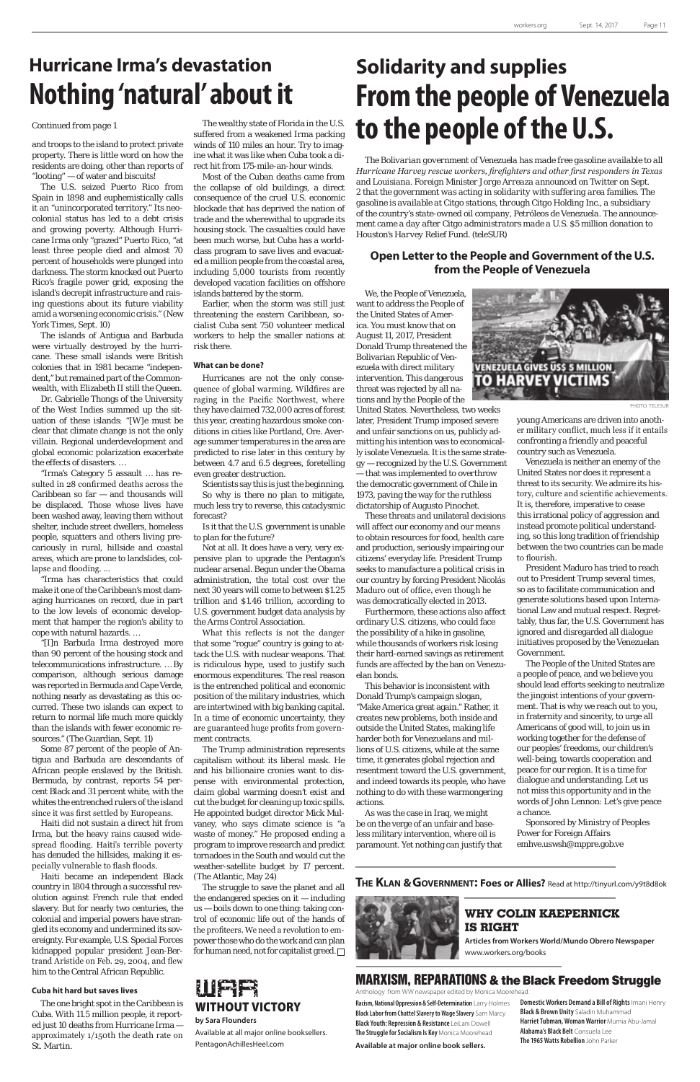and troops to the island to protect private property. There is little word on how the residents are doing, other than reports of "looting" — of water and biscuits!

The U.S. seized Puerto Rico from Spain in 1898 and euphemistically calls it an "unincorporated territory." Its neocolonial status has led to a debt crisis and growing poverty. Although Hurricane Irma only "grazed" Puerto Rico, "at least three people died and almost 70 percent of households were plunged into darkness. The storm knocked out Puerto Rico's fragile power grid, exposing the island's decrepit infrastructure and raising questions about its future viability amid a worsening economic crisis." (New York Times, Sept. 10)

The islands of Antigua and Barbuda were virtually destroyed by the hurricane. These small islands were British colonies that in 1981 became "independent," but remained part of the Commonwealth, with Elizabeth II still the Queen.

Dr. Gabrielle Thongs of the University of the West Indies summed up the situation of these islands: "[W]e must be clear that climate change is not the only villain. Regional underdevelopment and global economic polarization exacerbate the effects of disasters. …

"Irma's Category 5 assault … has resulted in 28 confirmed deaths across the Caribbean so  $far - and$  thousands will be displaced. Those whose lives have been washed away, leaving them without shelter, include street dwellers, homeless people, squatters and others living precariously in rural, hillside and coastal areas, which are prone to landslides, collapse and flooding. …

"Irma has characteristics that could make it one of the Caribbean's most damaging hurricanes on record, due in part to the low levels of economic development that hamper the region's ability to cope with natural hazards. …

"[I]n Barbuda Irma destroyed more than 90 percent of the housing stock and telecommunications infrastructure. … By comparison, although serious damage was reported in Bermuda and Cape Verde, nothing nearly as devastating as this occurred. These two islands can expect to return to normal life much more quickly than the islands with fewer economic resources." (The Guardian, Sept. 11)

Some 87 percent of the people of Antigua and Barbuda are descendants of African people enslaved by the British. Bermuda, by contrast, reports 54 percent Black and 31 percent white, with the whites the entrenched rulers of the island since it was first settled by Europeans. Haiti did not sustain a direct hit from Irma, but the heavy rains caused widespread flooding. Haiti's terrible poverty has denuded the hillsides, making it especially vulnerable to flash floods. Haiti became an independent Black country in 1804 through a successful revolution against French rule that ended slavery. But for nearly two centuries, the colonial and imperial powers have strangled its economy and undermined its sovereignty. For example, U.S. Special Forces kidnapped popular president Jean-Bertrand Aristide on Feb. 29, 2004, and flew him to the Central African Republic.

The Trump administration represents capitalism without its liberal mask. He and his billionaire cronies want to dispense with environmental protection, claim global warming doesn't exist and cut the budget for cleaning up toxic spills. He appointed budget director Mick Mulvaney, who says climate science is "a waste of money." He proposed ending a program to improve research and predict tornadoes in the South and would cut the weather-satellite budget by 17 percent. (The Atlantic, May 24) The struggle to save the planet and all the endangered species on it — including us — boils down to one thing: taking control of economic life out of the hands of the profiteers. We need a revolution to empower those who do the work and can plan for human need, not for capitalist greed.  $\Box$ 

## **Cuba hit hard but saves lives**

The one bright spot in the Caribbean is Cuba. With 11.5 million people, it reported just 10 deaths from Hurricane Irma approximately 1/150th the death rate on St. Martin.

The wealthy state of Florida in the U.S. suffered from a weakened Irma packing winds of 110 miles an hour. Try to imagine what it was like when Cuba took a direct hit from 175-mile-an-hour winds.

Most of the Cuban deaths came from the collapse of old buildings, a direct consequence of the cruel U.S. economic blockade that has deprived the nation of trade and the wherewithal to upgrade its housing stock. The casualties could have been much worse, but Cuba has a worldclass program to save lives and evacuated a million people from the coastal area, including 5,000 tourists from recently developed vacation facilities on offshore islands battered by the storm.

Earlier, when the storm was still just threatening the eastern Caribbean, socialist Cuba sent 750 volunteer medical workers to help the smaller nations at risk there.

#### **What can be done?**

Hurricanes are not the only consequence of global warming. Wildfires are raging in the Pacific Northwest, where they have claimed 732,000 acres of forest this year, creating hazardous smoke conditions in cities like Portland, Ore. Average summer temperatures in the area are predicted to rise later in this century by between 4.7 and 6.5 degrees, foretelling even greater destruction.

Scientists say this is just the beginning. So why is there no plan to mitigate, much less try to reverse, this cataclysmic forecast?

Is it that the U.S. government is unable to plan for the future?

Not at all. It does have a very, very expensive plan to upgrade the Pentagon's nuclear arsenal. Begun under the Obama administration, the total cost over the next 30 years will come to between \$1.25 trillion and \$1.46 trillion, according to U.S. government budget data analysis by the Arms Control Association.

What this reflects is not the danger that some "rogue" country is going to attack the U.S. with nuclear weapons. That is ridiculous hype, used to justify such enormous expenditures. The real reason is the entrenched political and economic position of the military industries, which are intertwined with big banking capital. In a time of economic uncertainty, they are guaranteed huge profits from government contracts.

### *Continued from page 1*

## **Hurricane Irma's devastation Nothing 'natural' about it**

## **Solidarity and supplies From the people of Venezuela to the people of the U.S.**

*The Bolivarian government of Venezuela has made free gasoline available to all Hurricane Harvey rescue workers, firefighters and other first responders in Texas and Louisiana. Foreign Minister Jorge Arreaza announced on Twitter on Sept. 2 that the government was acting in solidarity with suffering area families. The gasoline is available at Citgo stations, through Citgo Holding Inc., a subsidiary of the country's state-owned oil company, Petróleos de Venezuela. The announcement came a day after Citgo administrators made a U.S. \$5 million donation to Houston's Harvey Relief Fund. (teleSUR)*

## **Open Letter to the People and Government of the U.S. from the People of Venezuela**

young Americans are driven into another military conflict, much less if it entails confronting a friendly and peaceful country such as Venezuela.

Venezuela is neither an enemy of the United States nor does it represent a threat to its security. We admire its history, culture and scientific achievements. It is, therefore, imperative to cease this irrational policy of aggression and instead promote political understanding, so this long tradition of friendship between the two countries can be made to flourish.

President Maduro has tried to reach out to President Trump several times, so as to facilitate communication and generate solutions based upon International Law and mutual respect. Regrettably, thus far, the U.S. Government has ignored and disregarded all dialogue initiatives proposed by the Venezuelan Government.

The People of the United States are a people of peace, and we believe you should lead efforts seeking to neutralize the jingoist intentions of your government. That is why we reach out to you, in fraternity and sincerity, to urge all Americans of good will, to join us in working together for the defense of our peoples' freedoms, our children's well-being, towards cooperation and peace for our region. It is a time for dialogue and understanding. Let us not miss this opportunity and in the

words of John Lennon: Let's give peace a chance.

Sponsored by Ministry of Peoples Power for Foreign Affairs emhve.uswsh@mppre.gob.ve

We, the People of Venezuela, want to address the People of the United States of America. You must know that on August 11, 2017, President Donald Trump threatened the Bolivarian Republic of Venezuela with direct military intervention. This dangerous threat was rejected by all nations and by the People of the

United States. Nevertheless, two weeks later, President Trump imposed severe and unfair sanctions on us, publicly admitting his intention was to economically isolate Venezuela. It is the same strategy — recognized by the U.S. Government — that was implemented to overthrow the democratic government of Chile in 1973, paving the way for the ruthless dictatorship of Augusto Pinochet.

These threats and unilateral decisions will affect our economy and our means to obtain resources for food, health care and production, seriously impairing our citizens' everyday life. President Trump seeks to manufacture a political crisis in our country by forcing President Nicolás Maduro out of office, even though he was democratically elected in 2013.

Furthermore, these actions also affect ordinary U.S. citizens, who could face the possibility of a hike in gasoline, while thousands of workers risk losing their hard-earned savings as retirement funds are affected by the ban on Venezuelan bonds.

This behavior is inconsistent with Donald Trump's campaign slogan, "Make America great again." Rather, it creates new problems, both inside and outside the United States, making life harder both for Venezuelans and millions of U.S. citizens, while at the same time, it generates global rejection and resentment toward the U.S. government, and indeed towards its people, who have nothing to do with these warmongering



actions.

As was the case in Iraq, we might be on the verge of an unfair and baseless military intervention, where oil is paramount. Yet nothing can justify that PHOTO: TELESUR

## MARXISM, REPARATIONS & the Black Freedom Struggle

Anthology from WW newspaper edited by Monica Moorehead.

## **WHY COLIN KAEPERNICK IS RIGHT**

**Articles from Workers World/Mundo Obrero Newspaper** www.workers.org/books

**Available at major online book sellers. Racism, National Oppression & Self-Determination** Larry Holmes **Black Labor from Chattel Slavery to Wage Slavery** Sam Marcy **Black Youth: Repression & Resistance** LeiLani Dowell **The Struggle for Socialism Is Key** Monica Moorehead

**Domestic Workers Demand a Bill of Rights** Imani Henry **Black & Brown Unity** Saladin Muhammad **Harriet Tubman, Woman Warrior** Mumia Abu-Jamal **Alabama's Black Belt** Consuela Lee **The 1965 Watts Rebellion** John Parker

## **The Klan & Government: Foes or Allies?** Read at http://tinyurl.com/y9t8d8ok





## **by Sara Flounders**

Available at all major online booksellers. PentagonAchillesHeel.com